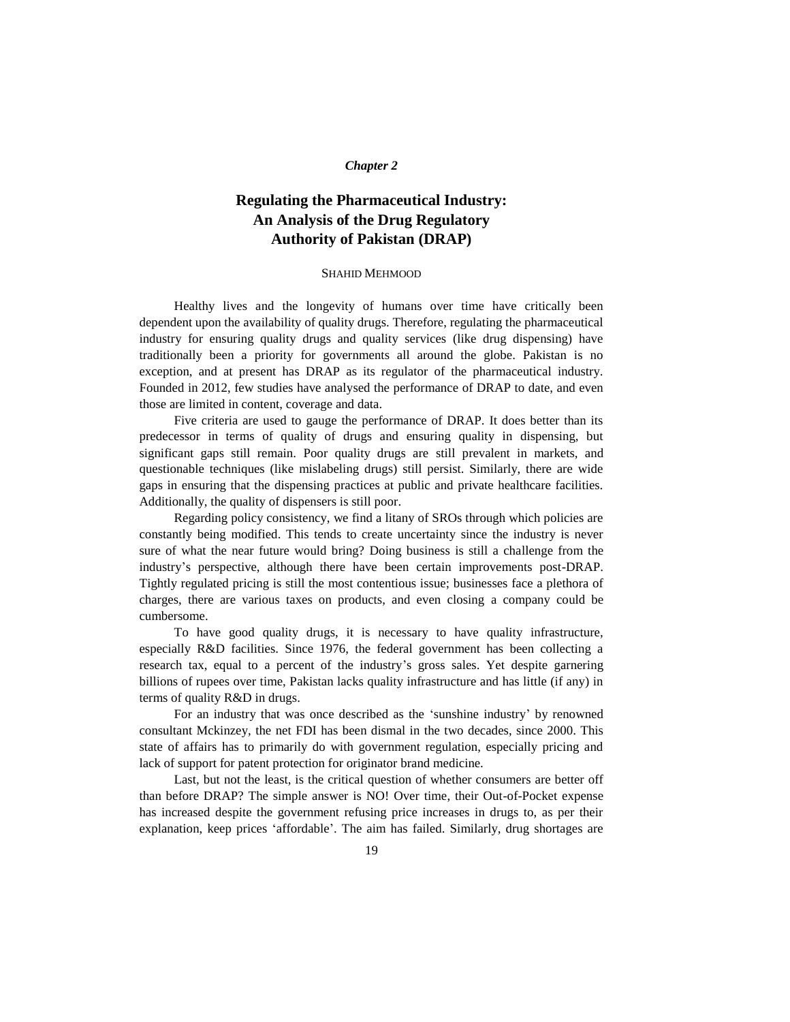#### *Chapter 2*

# **Regulating the Pharmaceutical Industry: An Analysis of the Drug Regulatory Authority of Pakistan (DRAP)**

#### SHAHID MEHMOOD

Healthy lives and the longevity of humans over time have critically been dependent upon the availability of quality drugs. Therefore, regulating the pharmaceutical industry for ensuring quality drugs and quality services (like drug dispensing) have traditionally been a priority for governments all around the globe. Pakistan is no exception, and at present has DRAP as its regulator of the pharmaceutical industry. Founded in 2012, few studies have analysed the performance of DRAP to date, and even those are limited in content, coverage and data.

Five criteria are used to gauge the performance of DRAP. It does better than its predecessor in terms of quality of drugs and ensuring quality in dispensing, but significant gaps still remain. Poor quality drugs are still prevalent in markets, and questionable techniques (like mislabeling drugs) still persist. Similarly, there are wide gaps in ensuring that the dispensing practices at public and private healthcare facilities. Additionally, the quality of dispensers is still poor.

Regarding policy consistency, we find a litany of SROs through which policies are constantly being modified. This tends to create uncertainty since the industry is never sure of what the near future would bring? Doing business is still a challenge from the industry's perspective, although there have been certain improvements post-DRAP. Tightly regulated pricing is still the most contentious issue; businesses face a plethora of charges, there are various taxes on products, and even closing a company could be cumbersome.

To have good quality drugs, it is necessary to have quality infrastructure, especially R&D facilities. Since 1976, the federal government has been collecting a research tax, equal to a percent of the industry's gross sales. Yet despite garnering billions of rupees over time, Pakistan lacks quality infrastructure and has little (if any) in terms of quality R&D in drugs.

For an industry that was once described as the 'sunshine industry' by renowned consultant Mckinzey, the net FDI has been dismal in the two decades, since 2000. This state of affairs has to primarily do with government regulation, especially pricing and lack of support for patent protection for originator brand medicine.

Last, but not the least, is the critical question of whether consumers are better off than before DRAP? The simple answer is NO! Over time, their Out-of-Pocket expense has increased despite the government refusing price increases in drugs to, as per their explanation, keep prices 'affordable'. The aim has failed. Similarly, drug shortages are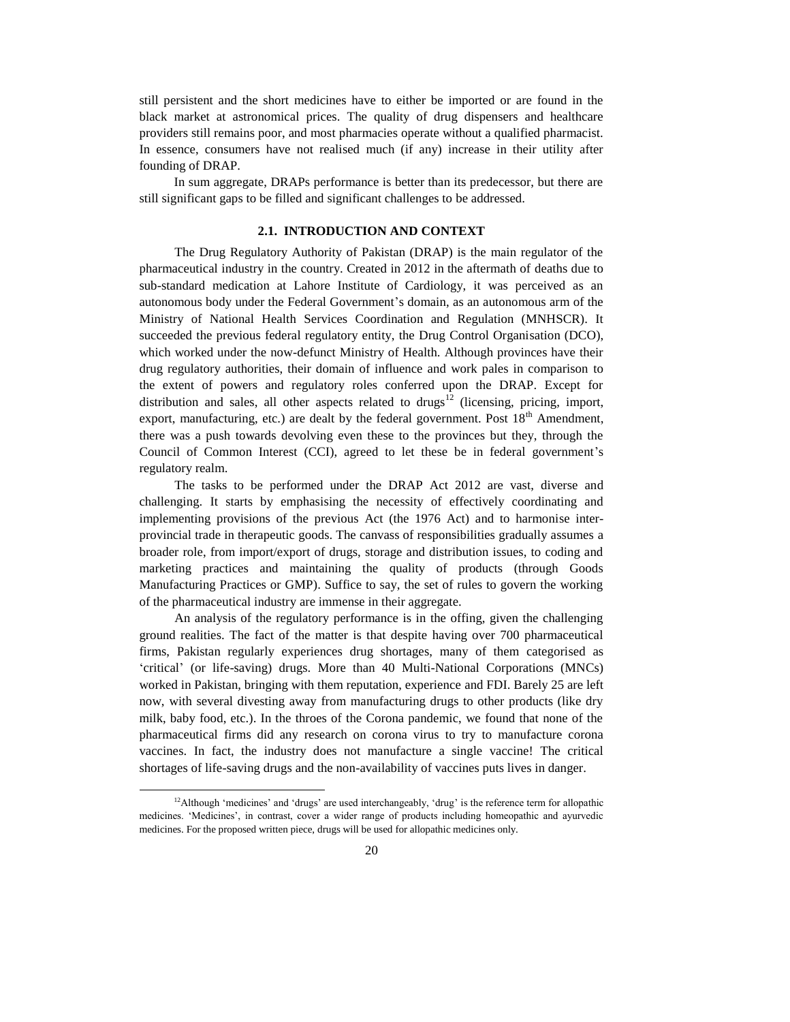still persistent and the short medicines have to either be imported or are found in the black market at astronomical prices. The quality of drug dispensers and healthcare providers still remains poor, and most pharmacies operate without a qualified pharmacist. In essence, consumers have not realised much (if any) increase in their utility after founding of DRAP.

In sum aggregate, DRAPs performance is better than its predecessor, but there are still significant gaps to be filled and significant challenges to be addressed.

#### **2.1. INTRODUCTION AND CONTEXT**

The Drug Regulatory Authority of Pakistan (DRAP) is the main regulator of the pharmaceutical industry in the country. Created in 2012 in the aftermath of deaths due to sub-standard medication at Lahore Institute of Cardiology, it was perceived as an autonomous body under the Federal Government's domain, as an autonomous arm of the Ministry of National Health Services Coordination and Regulation (MNHSCR). It succeeded the previous federal regulatory entity, the Drug Control Organisation (DCO), which worked under the now-defunct Ministry of Health. Although provinces have their drug regulatory authorities, their domain of influence and work pales in comparison to the extent of powers and regulatory roles conferred upon the DRAP. Except for distribution and sales, all other aspects related to drugs<sup>12</sup> (licensing, pricing, import, export, manufacturing, etc.) are dealt by the federal government. Post  $18<sup>th</sup>$  Amendment, there was a push towards devolving even these to the provinces but they, through the Council of Common Interest (CCI), agreed to let these be in federal government's regulatory realm.

The tasks to be performed under the DRAP Act 2012 are vast, diverse and challenging. It starts by emphasising the necessity of effectively coordinating and implementing provisions of the previous Act (the 1976 Act) and to harmonise interprovincial trade in therapeutic goods. The canvass of responsibilities gradually assumes a broader role, from import/export of drugs, storage and distribution issues, to coding and marketing practices and maintaining the quality of products (through Goods Manufacturing Practices or GMP). Suffice to say, the set of rules to govern the working of the pharmaceutical industry are immense in their aggregate.

An analysis of the regulatory performance is in the offing, given the challenging ground realities. The fact of the matter is that despite having over 700 pharmaceutical firms, Pakistan regularly experiences drug shortages, many of them categorised as 'critical' (or life-saving) drugs. More than 40 Multi-National Corporations (MNCs) worked in Pakistan, bringing with them reputation, experience and FDI. Barely 25 are left now, with several divesting away from manufacturing drugs to other products (like dry milk, baby food, etc.). In the throes of the Corona pandemic, we found that none of the pharmaceutical firms did any research on corona virus to try to manufacture corona vaccines. In fact, the industry does not manufacture a single vaccine! The critical shortages of life-saving drugs and the non-availability of vaccines puts lives in danger.

<sup>&</sup>lt;sup>12</sup>Although 'medicines' and 'drugs' are used interchangeably, 'drug' is the reference term for allopathic medicines. 'Medicines', in contrast, cover a wider range of products including homeopathic and ayurvedic medicines. For the proposed written piece, drugs will be used for allopathic medicines only.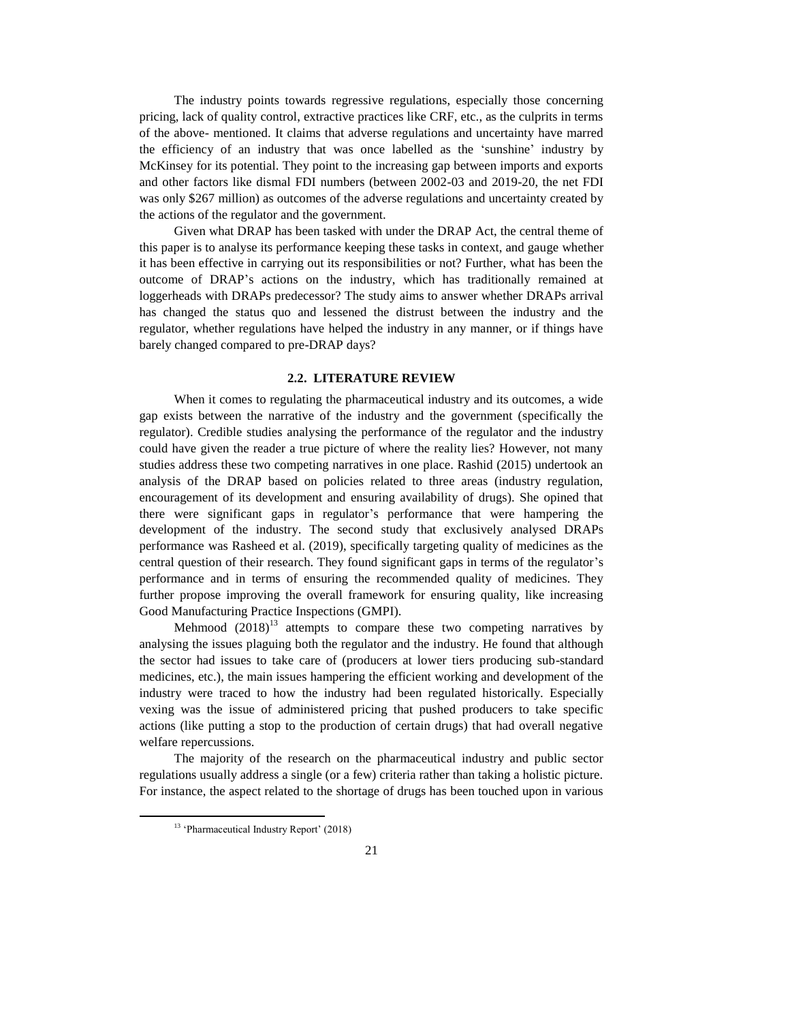The industry points towards regressive regulations, especially those concerning pricing, lack of quality control, extractive practices like CRF, etc., as the culprits in terms of the above- mentioned. It claims that adverse regulations and uncertainty have marred the efficiency of an industry that was once labelled as the 'sunshine' industry by McKinsey for its potential. They point to the increasing gap between imports and exports and other factors like dismal FDI numbers (between 2002-03 and 2019-20, the net FDI was only \$267 million) as outcomes of the adverse regulations and uncertainty created by the actions of the regulator and the government.

Given what DRAP has been tasked with under the DRAP Act, the central theme of this paper is to analyse its performance keeping these tasks in context, and gauge whether it has been effective in carrying out its responsibilities or not? Further, what has been the outcome of DRAP's actions on the industry, which has traditionally remained at loggerheads with DRAPs predecessor? The study aims to answer whether DRAPs arrival has changed the status quo and lessened the distrust between the industry and the regulator, whether regulations have helped the industry in any manner, or if things have barely changed compared to pre-DRAP days?

## **2.2. LITERATURE REVIEW**

When it comes to regulating the pharmaceutical industry and its outcomes, a wide gap exists between the narrative of the industry and the government (specifically the regulator). Credible studies analysing the performance of the regulator and the industry could have given the reader a true picture of where the reality lies? However, not many studies address these two competing narratives in one place. Rashid (2015) undertook an analysis of the DRAP based on policies related to three areas (industry regulation, encouragement of its development and ensuring availability of drugs). She opined that there were significant gaps in regulator's performance that were hampering the development of the industry. The second study that exclusively analysed DRAPs performance was Rasheed et al. (2019), specifically targeting quality of medicines as the central question of their research. They found significant gaps in terms of the regulator's performance and in terms of ensuring the recommended quality of medicines. They further propose improving the overall framework for ensuring quality, like increasing Good Manufacturing Practice Inspections (GMPI).

Mehmood  $(2018)^{13}$  attempts to compare these two competing narratives by analysing the issues plaguing both the regulator and the industry. He found that although the sector had issues to take care of (producers at lower tiers producing sub-standard medicines, etc.), the main issues hampering the efficient working and development of the industry were traced to how the industry had been regulated historically. Especially vexing was the issue of administered pricing that pushed producers to take specific actions (like putting a stop to the production of certain drugs) that had overall negative welfare repercussions.

The majority of the research on the pharmaceutical industry and public sector regulations usually address a single (or a few) criteria rather than taking a holistic picture. For instance, the aspect related to the shortage of drugs has been touched upon in various

<sup>&</sup>lt;sup>13</sup> 'Pharmaceutical Industry Report' (2018)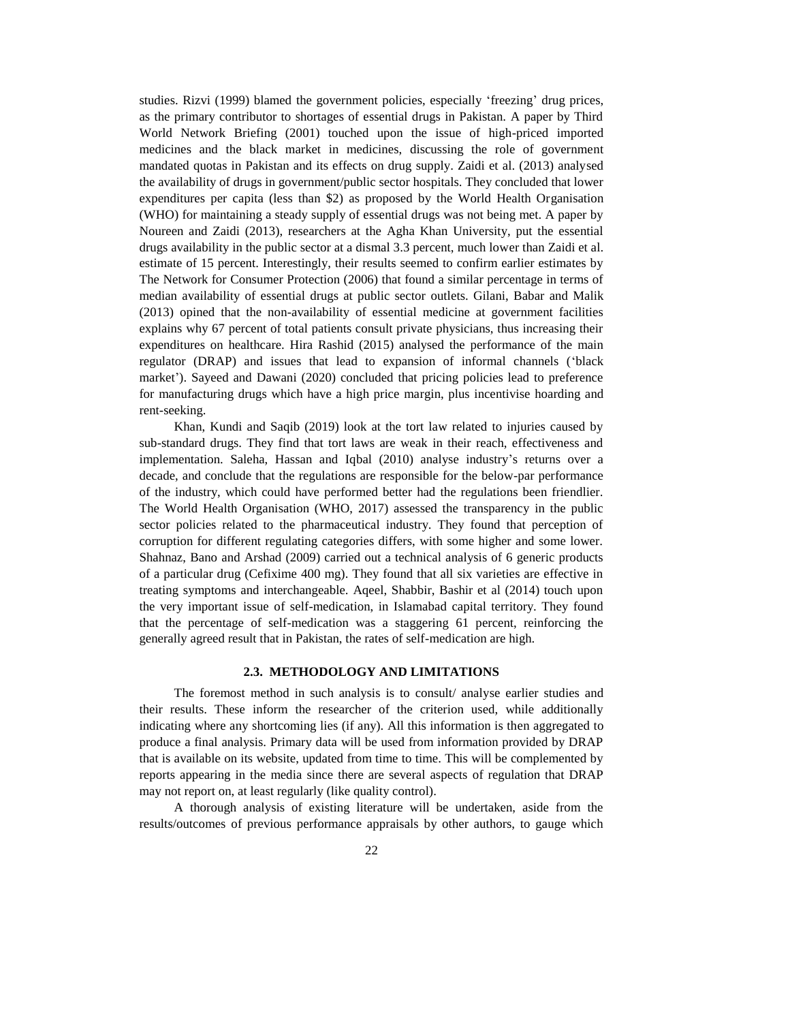studies. Rizvi (1999) blamed the government policies, especially 'freezing' drug prices, as the primary contributor to shortages of essential drugs in Pakistan. A paper by Third World Network Briefing (2001) touched upon the issue of high-priced imported medicines and the black market in medicines, discussing the role of government mandated quotas in Pakistan and its effects on drug supply. Zaidi et al. (2013) analysed the availability of drugs in government/public sector hospitals. They concluded that lower expenditures per capita (less than \$2) as proposed by the World Health Organisation (WHO) for maintaining a steady supply of essential drugs was not being met. A paper by Noureen and Zaidi (2013), researchers at the Agha Khan University, put the essential drugs availability in the public sector at a dismal 3.3 percent, much lower than Zaidi et al. estimate of 15 percent. Interestingly, their results seemed to confirm earlier estimates by The Network for Consumer Protection (2006) that found a similar percentage in terms of median availability of essential drugs at public sector outlets. Gilani, Babar and Malik (2013) opined that the non-availability of essential medicine at government facilities explains why 67 percent of total patients consult private physicians, thus increasing their expenditures on healthcare. Hira Rashid (2015) analysed the performance of the main regulator (DRAP) and issues that lead to expansion of informal channels ('black market'). Sayeed and Dawani (2020) concluded that pricing policies lead to preference for manufacturing drugs which have a high price margin, plus incentivise hoarding and rent-seeking.

Khan, Kundi and Saqib (2019) look at the tort law related to injuries caused by sub-standard drugs. They find that tort laws are weak in their reach, effectiveness and implementation. Saleha, Hassan and Iqbal (2010) analyse industry's returns over a decade, and conclude that the regulations are responsible for the below-par performance of the industry, which could have performed better had the regulations been friendlier. The World Health Organisation (WHO, 2017) assessed the transparency in the public sector policies related to the pharmaceutical industry. They found that perception of corruption for different regulating categories differs, with some higher and some lower. Shahnaz, Bano and Arshad (2009) carried out a technical analysis of 6 generic products of a particular drug (Cefixime 400 mg). They found that all six varieties are effective in treating symptoms and interchangeable. Aqeel, Shabbir, Bashir et al (2014) touch upon the very important issue of self-medication, in Islamabad capital territory. They found that the percentage of self-medication was a staggering 61 percent, reinforcing the generally agreed result that in Pakistan, the rates of self-medication are high.

#### **2.3. METHODOLOGY AND LIMITATIONS**

The foremost method in such analysis is to consult/ analyse earlier studies and their results. These inform the researcher of the criterion used, while additionally indicating where any shortcoming lies (if any). All this information is then aggregated to produce a final analysis. Primary data will be used from information provided by DRAP that is available on its website, updated from time to time. This will be complemented by reports appearing in the media since there are several aspects of regulation that DRAP may not report on, at least regularly (like quality control).

A thorough analysis of existing literature will be undertaken, aside from the results/outcomes of previous performance appraisals by other authors, to gauge which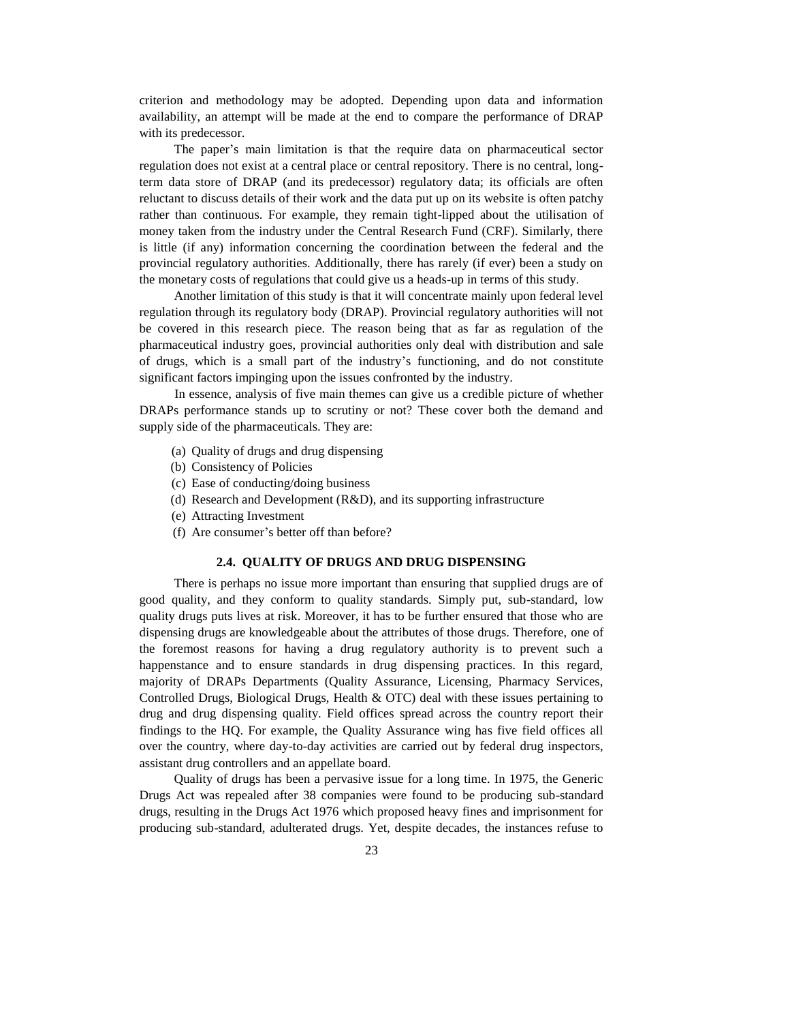criterion and methodology may be adopted. Depending upon data and information availability, an attempt will be made at the end to compare the performance of DRAP with its predecessor.

The paper's main limitation is that the require data on pharmaceutical sector regulation does not exist at a central place or central repository. There is no central, longterm data store of DRAP (and its predecessor) regulatory data; its officials are often reluctant to discuss details of their work and the data put up on its website is often patchy rather than continuous. For example, they remain tight-lipped about the utilisation of money taken from the industry under the Central Research Fund (CRF). Similarly, there is little (if any) information concerning the coordination between the federal and the provincial regulatory authorities. Additionally, there has rarely (if ever) been a study on the monetary costs of regulations that could give us a heads-up in terms of this study.

Another limitation of this study is that it will concentrate mainly upon federal level regulation through its regulatory body (DRAP). Provincial regulatory authorities will not be covered in this research piece. The reason being that as far as regulation of the pharmaceutical industry goes, provincial authorities only deal with distribution and sale of drugs, which is a small part of the industry's functioning, and do not constitute significant factors impinging upon the issues confronted by the industry.

In essence, analysis of five main themes can give us a credible picture of whether DRAPs performance stands up to scrutiny or not? These cover both the demand and supply side of the pharmaceuticals. They are:

- (a) Quality of drugs and drug dispensing
- (b) Consistency of Policies
- (c) Ease of conducting/doing business
- (d) Research and Development (R&D), and its supporting infrastructure
- (e) Attracting Investment
- (f) Are consumer's better off than before?

#### **2.4. QUALITY OF DRUGS AND DRUG DISPENSING**

There is perhaps no issue more important than ensuring that supplied drugs are of good quality, and they conform to quality standards. Simply put, sub-standard, low quality drugs puts lives at risk. Moreover, it has to be further ensured that those who are dispensing drugs are knowledgeable about the attributes of those drugs. Therefore, one of the foremost reasons for having a drug regulatory authority is to prevent such a happenstance and to ensure standards in drug dispensing practices. In this regard, majority of DRAPs Departments (Quality Assurance, Licensing, Pharmacy Services, Controlled Drugs, Biological Drugs, Health & OTC) deal with these issues pertaining to drug and drug dispensing quality. Field offices spread across the country report their findings to the HQ. For example, the Quality Assurance wing has five field offices all over the country, where day-to-day activities are carried out by federal drug inspectors, assistant drug controllers and an appellate board.

Quality of drugs has been a pervasive issue for a long time. In 1975, the Generic Drugs Act was repealed after 38 companies were found to be producing sub-standard drugs, resulting in the Drugs Act 1976 which proposed heavy fines and imprisonment for producing sub-standard, adulterated drugs. Yet, despite decades, the instances refuse to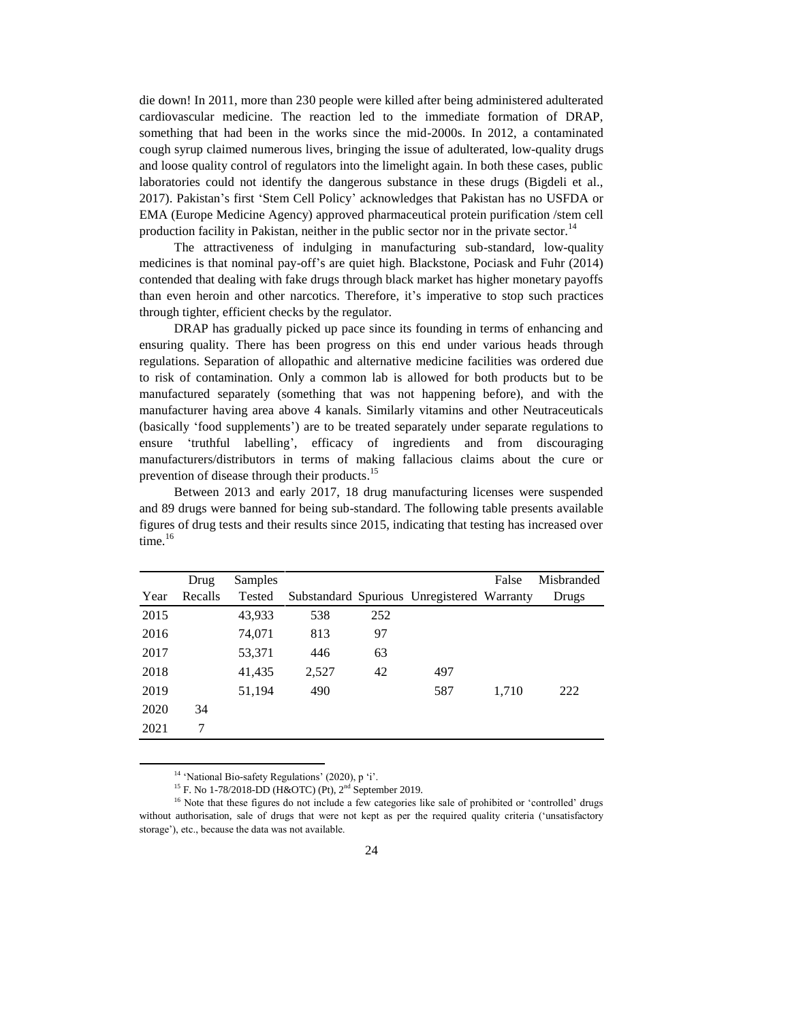die down! In 2011, more than 230 people were killed after being administered adulterated cardiovascular medicine. The reaction led to the immediate formation of DRAP, something that had been in the works since the mid-2000s. In 2012, a contaminated cough syrup claimed numerous lives, bringing the issue of adulterated, low-quality drugs and loose quality control of regulators into the limelight again. In both these cases, public laboratories could not identify the dangerous substance in these drugs (Bigdeli et al., 2017). Pakistan's first 'Stem Cell Policy' acknowledges that Pakistan has no USFDA or EMA (Europe Medicine Agency) approved pharmaceutical protein purification /stem cell production facility in Pakistan, neither in the public sector nor in the private sector.<sup>14</sup>

The attractiveness of indulging in manufacturing sub-standard, low-quality medicines is that nominal pay-off's are quiet high. Blackstone, Pociask and Fuhr (2014) contended that dealing with fake drugs through black market has higher monetary payoffs than even heroin and other narcotics. Therefore, it's imperative to stop such practices through tighter, efficient checks by the regulator.

DRAP has gradually picked up pace since its founding in terms of enhancing and ensuring quality. There has been progress on this end under various heads through regulations. Separation of allopathic and alternative medicine facilities was ordered due to risk of contamination. Only a common lab is allowed for both products but to be manufactured separately (something that was not happening before), and with the manufacturer having area above 4 kanals. Similarly vitamins and other Neutraceuticals (basically 'food supplements') are to be treated separately under separate regulations to ensure 'truthful labelling', efficacy of ingredients and from discouraging manufacturers/distributors in terms of making fallacious claims about the cure or prevention of disease through their products.<sup>15</sup>

Between 2013 and early 2017, 18 drug manufacturing licenses were suspended and 89 drugs were banned for being sub-standard. The following table presents available figures of drug tests and their results since 2015, indicating that testing has increased over time.<sup>16</sup>

|      | Drug    | Samples |       |     |                                            | False | Misbranded |
|------|---------|---------|-------|-----|--------------------------------------------|-------|------------|
| Year | Recalls | Tested  |       |     | Substandard Spurious Unregistered Warranty |       | Drugs      |
| 2015 |         | 43,933  | 538   | 252 |                                            |       |            |
| 2016 |         | 74,071  | 813   | 97  |                                            |       |            |
| 2017 |         | 53,371  | 446   | 63  |                                            |       |            |
| 2018 |         | 41,435  | 2,527 | 42  | 497                                        |       |            |
| 2019 |         | 51,194  | 490   |     | 587                                        | 1,710 | 222        |
| 2020 | 34      |         |       |     |                                            |       |            |
| 2021 | 7       |         |       |     |                                            |       |            |

<sup>&</sup>lt;sup>14</sup> 'National Bio-safety Regulations' (2020), p 'i'.

 $\overline{a}$ 

<sup>&</sup>lt;sup>15</sup> F. No 1-78/2018-DD (H&OTC) (Pt), 2<sup>nd</sup> September 2019.

<sup>&</sup>lt;sup>16</sup> Note that these figures do not include a few categories like sale of prohibited or 'controlled' drugs without authorisation, sale of drugs that were not kept as per the required quality criteria ('unsatisfactory storage'), etc., because the data was not available.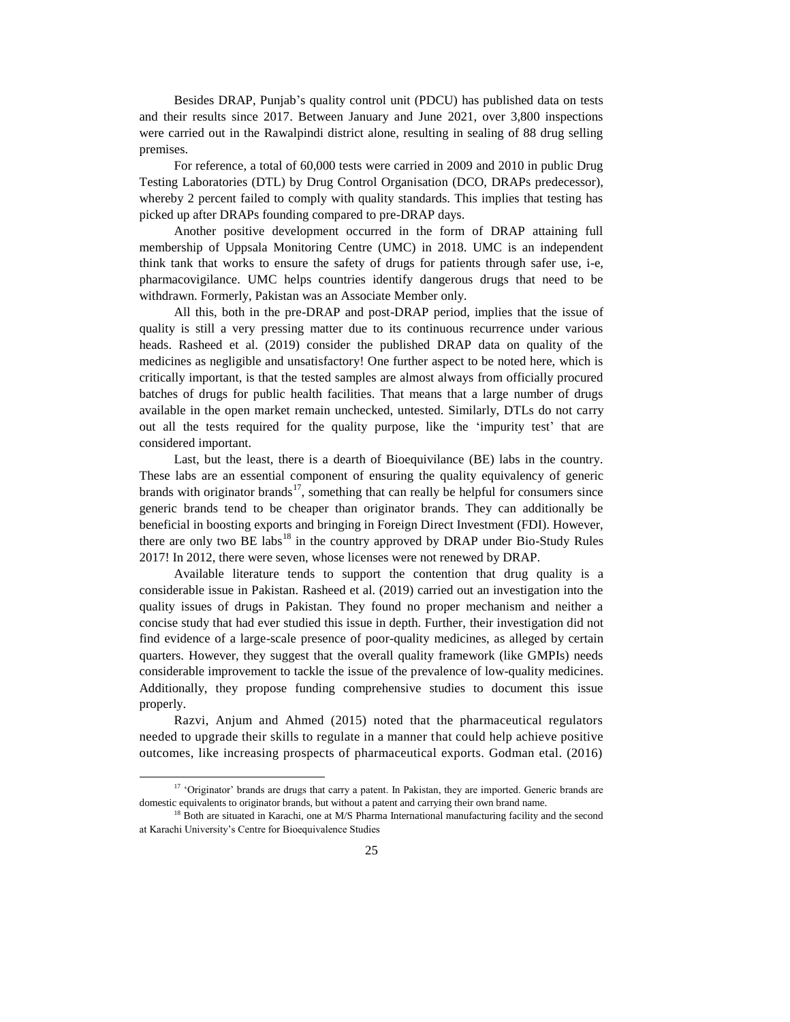Besides DRAP, Punjab's quality control unit (PDCU) has published data on tests and their results since 2017. Between January and June 2021, over 3,800 inspections were carried out in the Rawalpindi district alone, resulting in sealing of 88 drug selling premises.

For reference, a total of 60,000 tests were carried in 2009 and 2010 in public Drug Testing Laboratories (DTL) by Drug Control Organisation (DCO, DRAPs predecessor), whereby 2 percent failed to comply with quality standards. This implies that testing has picked up after DRAPs founding compared to pre-DRAP days.

Another positive development occurred in the form of DRAP attaining full membership of Uppsala Monitoring Centre (UMC) in 2018. UMC is an independent think tank that works to ensure the safety of drugs for patients through safer use, i-e, pharmacovigilance. UMC helps countries identify dangerous drugs that need to be withdrawn. Formerly, Pakistan was an Associate Member only.

All this, both in the pre-DRAP and post-DRAP period, implies that the issue of quality is still a very pressing matter due to its continuous recurrence under various heads. Rasheed et al. (2019) consider the published DRAP data on quality of the medicines as negligible and unsatisfactory! One further aspect to be noted here, which is critically important, is that the tested samples are almost always from officially procured batches of drugs for public health facilities. That means that a large number of drugs available in the open market remain unchecked, untested. Similarly, DTLs do not carry out all the tests required for the quality purpose, like the 'impurity test' that are considered important.

Last, but the least, there is a dearth of Bioequivilance (BE) labs in the country. These labs are an essential component of ensuring the quality equivalency of generic brands with originator brands<sup>17</sup>, something that can really be helpful for consumers since generic brands tend to be cheaper than originator brands. They can additionally be beneficial in boosting exports and bringing in Foreign Direct Investment (FDI). However, there are only two BE labs<sup>18</sup> in the country approved by DRAP under Bio-Study Rules 2017! In 2012, there were seven, whose licenses were not renewed by DRAP.

Available literature tends to support the contention that drug quality is a considerable issue in Pakistan. Rasheed et al. (2019) carried out an investigation into the quality issues of drugs in Pakistan. They found no proper mechanism and neither a concise study that had ever studied this issue in depth. Further, their investigation did not find evidence of a large-scale presence of poor-quality medicines, as alleged by certain quarters. However, they suggest that the overall quality framework (like GMPIs) needs considerable improvement to tackle the issue of the prevalence of low-quality medicines. Additionally, they propose funding comprehensive studies to document this issue properly.

Razvi, Anjum and Ahmed (2015) noted that the pharmaceutical regulators needed to upgrade their skills to regulate in a manner that could help achieve positive outcomes, like increasing prospects of pharmaceutical exports. Godman etal. (2016)

<sup>&</sup>lt;sup>17</sup> 'Originator' brands are drugs that carry a patent. In Pakistan, they are imported. Generic brands are domestic equivalents to originator brands, but without a patent and carrying their own brand name.

<sup>&</sup>lt;sup>18</sup> Both are situated in Karachi, one at M/S Pharma International manufacturing facility and the second at Karachi University's Centre for Bioequivalence Studies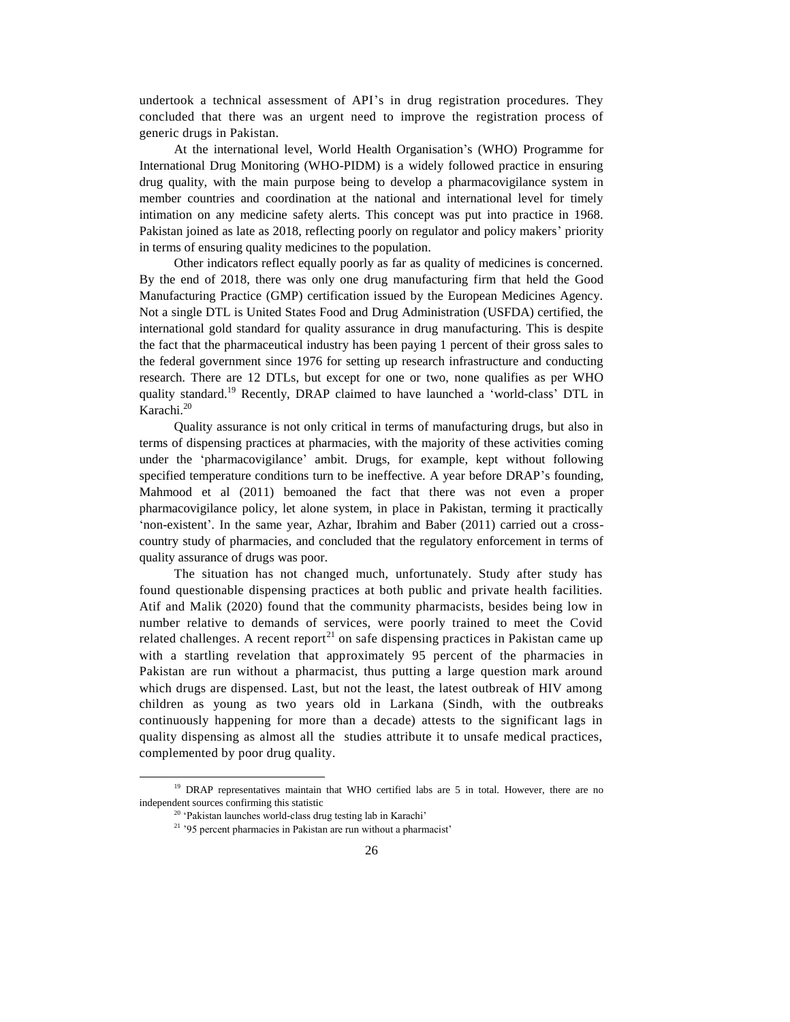undertook a technical assessment of API's in drug registration procedures. They concluded that there was an urgent need to improve the registration process of generic drugs in Pakistan.

At the international level, World Health Organisation's (WHO) Programme for International Drug Monitoring (WHO-PIDM) is a widely followed practice in ensuring drug quality, with the main purpose being to develop a pharmacovigilance system in member countries and coordination at the national and international level for timely intimation on any medicine safety alerts. This concept was put into practice in 1968. Pakistan joined as late as 2018, reflecting poorly on regulator and policy makers' priority in terms of ensuring quality medicines to the population.

Other indicators reflect equally poorly as far as quality of medicines is concerned. By the end of 2018, there was only one drug manufacturing firm that held the Good Manufacturing Practice (GMP) certification issued by the European Medicines Agency. Not a single DTL is United States Food and Drug Administration (USFDA) certified, the international gold standard for quality assurance in drug manufacturing. This is despite the fact that the pharmaceutical industry has been paying 1 percent of their gross sales to the federal government since 1976 for setting up research infrastructure and conducting research. There are 12 DTLs, but except for one or two, none qualifies as per WHO quality standard.<sup>19</sup> Recently, DRAP claimed to have launched a 'world-class' DTL in Karachi. 20

Quality assurance is not only critical in terms of manufacturing drugs, but also in terms of dispensing practices at pharmacies, with the majority of these activities coming under the 'pharmacovigilance' ambit. Drugs, for example, kept without following specified temperature conditions turn to be ineffective. A year before DRAP's founding, Mahmood et al (2011) bemoaned the fact that there was not even a proper pharmacovigilance policy, let alone system, in place in Pakistan, terming it practically 'non-existent'. In the same year, Azhar, Ibrahim and Baber (2011) carried out a crosscountry study of pharmacies, and concluded that the regulatory enforcement in terms of quality assurance of drugs was poor.

The situation has not changed much, unfortunately. Study after study has found questionable dispensing practices at both public and private health facilities. Atif and Malik (2020) found that the community pharmacists, besides being low in number relative to demands of services, were poorly trained to meet the Covid related challenges. A recent report $^{21}$  on safe dispensing practices in Pakistan came up with a startling revelation that approximately 95 percent of the pharmacies in Pakistan are run without a pharmacist, thus putting a large question mark around which drugs are dispensed. Last, but not the least, the latest outbreak of HIV among children as young as two years old in Larkana (Sindh, with the outbreaks continuously happening for more than a decade) attests to the significant lags in quality dispensing as almost all the studies attribute it to unsafe medical practices, complemented by poor drug quality.

<sup>&</sup>lt;sup>19</sup> DRAP representatives maintain that WHO certified labs are 5 in total. However, there are no independent sources confirming this statistic

<sup>20</sup> 'Pakistan launches world-class drug testing lab in Karachi'

<sup>&</sup>lt;sup>21</sup> '95 percent pharmacies in Pakistan are run without a pharmacist'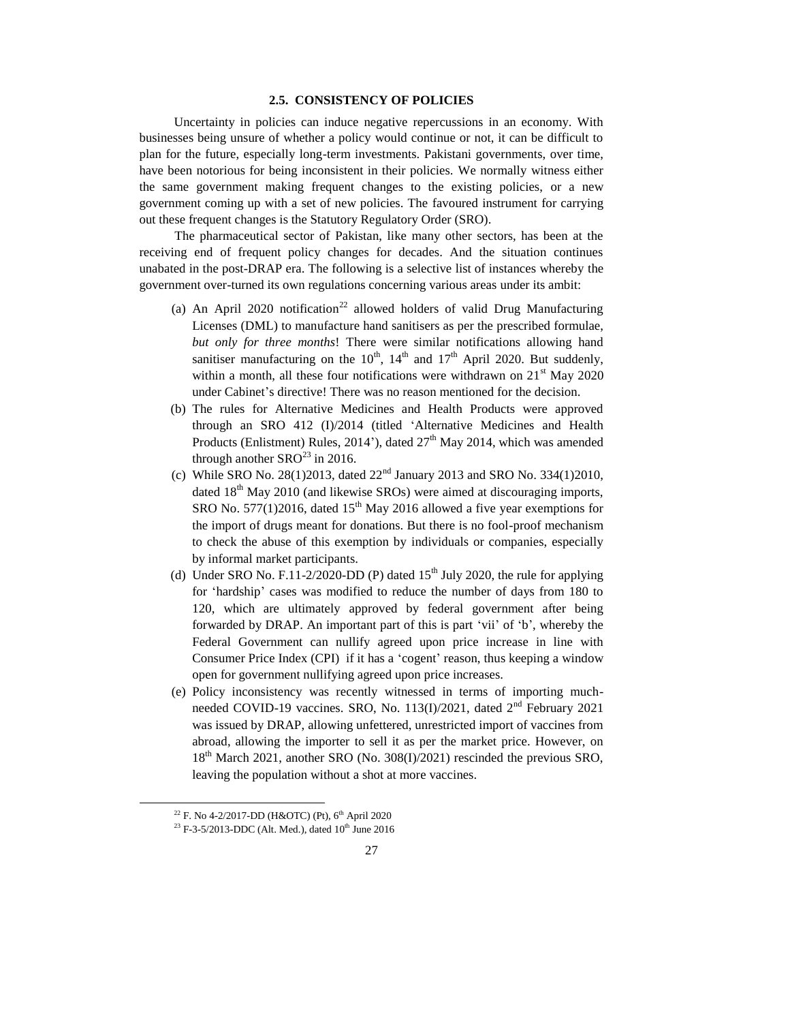# **2.5. CONSISTENCY OF POLICIES**

Uncertainty in policies can induce negative repercussions in an economy. With businesses being unsure of whether a policy would continue or not, it can be difficult to plan for the future, especially long-term investments. Pakistani governments, over time, have been notorious for being inconsistent in their policies. We normally witness either the same government making frequent changes to the existing policies, or a new government coming up with a set of new policies. The favoured instrument for carrying out these frequent changes is the Statutory Regulatory Order (SRO).

The pharmaceutical sector of Pakistan, like many other sectors, has been at the receiving end of frequent policy changes for decades. And the situation continues unabated in the post-DRAP era. The following is a selective list of instances whereby the government over-turned its own regulations concerning various areas under its ambit:

- (a) An April 2020 notification<sup>22</sup> allowed holders of valid Drug Manufacturing Licenses (DML) to manufacture hand sanitisers as per the prescribed formulae, *but only for three months*! There were similar notifications allowing hand sanitiser manufacturing on the  $10^{th}$ ,  $14^{th}$  and  $17^{th}$  April 2020. But suddenly, within a month, all these four notifications were withdrawn on  $21<sup>st</sup>$  May 2020 under Cabinet's directive! There was no reason mentioned for the decision.
- (b) The rules for Alternative Medicines and Health Products were approved through an SRO 412 (I)/2014 (titled 'Alternative Medicines and Health Products (Enlistment) Rules, 2014'), dated  $27<sup>th</sup>$  May 2014, which was amended through another  $SRO^{23}$  in 2016.
- (c) While SRO No. 28(1)2013, dated  $22<sup>nd</sup>$  January 2013 and SRO No. 334(1)2010, dated  $18<sup>th</sup>$  May 2010 (and likewise SROs) were aimed at discouraging imports, SRO No. 577(1)2016, dated 15<sup>th</sup> May 2016 allowed a five year exemptions for the import of drugs meant for donations. But there is no fool-proof mechanism to check the abuse of this exemption by individuals or companies, especially by informal market participants.
- (d) Under SRO No. F.11-2/2020-DD (P) dated  $15<sup>th</sup>$  July 2020, the rule for applying for 'hardship' cases was modified to reduce the number of days from 180 to 120, which are ultimately approved by federal government after being forwarded by DRAP. An important part of this is part 'vii' of 'b', whereby the Federal Government can nullify agreed upon price increase in line with Consumer Price Index (CPI) if it has a 'cogent' reason, thus keeping a window open for government nullifying agreed upon price increases.
- (e) Policy inconsistency was recently witnessed in terms of importing muchneeded COVID-19 vaccines. SRO, No. 113(I)/2021, dated  $2<sup>nd</sup>$  February 2021 was issued by DRAP, allowing unfettered, unrestricted import of vaccines from abroad, allowing the importer to sell it as per the market price. However, on 18<sup>th</sup> March 2021, another SRO (No. 308(I)/2021) rescinded the previous SRO, leaving the population without a shot at more vaccines.

 $\overline{a}$ 

<sup>&</sup>lt;sup>22</sup> F. No 4-2/2017-DD (H&OTC) (Pt), 6<sup>th</sup> April 2020

<sup>&</sup>lt;sup>23</sup> F-3-5/2013-DDC (Alt. Med.), dated  $10^{th}$  June 2016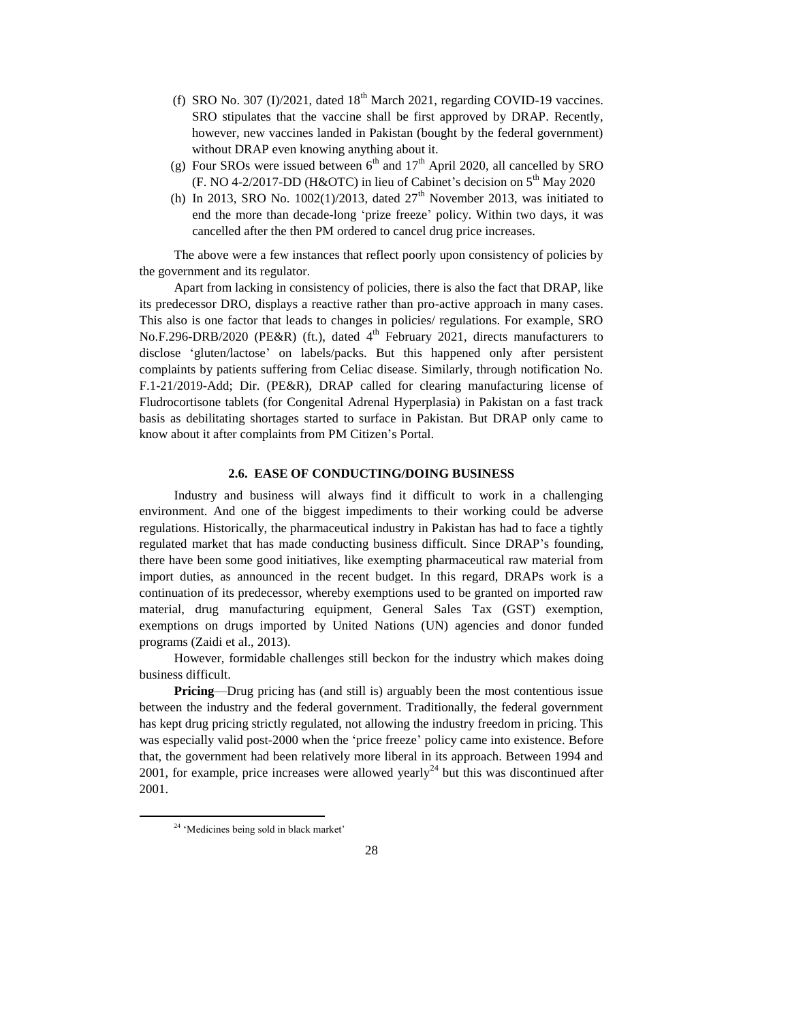- (f) SRO No. 307 (I)/2021, dated  $18<sup>th</sup>$  March 2021, regarding COVID-19 vaccines. SRO stipulates that the vaccine shall be first approved by DRAP. Recently, however, new vaccines landed in Pakistan (bought by the federal government) without DRAP even knowing anything about it.
- (g) Four SROs were issued between  $6<sup>th</sup>$  and  $17<sup>th</sup>$  April 2020, all cancelled by SRO (F. NO 4-2/2017-DD (H&OTC) in lieu of Cabinet's decision on 5th May 2020
- (h) In 2013, SRO No. 1002(1)/2013, dated  $27<sup>th</sup>$  November 2013, was initiated to end the more than decade-long 'prize freeze' policy. Within two days, it was cancelled after the then PM ordered to cancel drug price increases.

The above were a few instances that reflect poorly upon consistency of policies by the government and its regulator.

Apart from lacking in consistency of policies, there is also the fact that DRAP, like its predecessor DRO, displays a reactive rather than pro-active approach in many cases. This also is one factor that leads to changes in policies/ regulations. For example, SRO No.F.296-DRB/2020 (PE&R) (ft.), dated  $4<sup>th</sup>$  February 2021, directs manufacturers to disclose 'gluten/lactose' on labels/packs. But this happened only after persistent complaints by patients suffering from Celiac disease. Similarly, through notification No. F.1-21/2019-Add; Dir. (PE&R), DRAP called for clearing manufacturing license of Fludrocortisone tablets (for Congenital Adrenal Hyperplasia) in Pakistan on a fast track basis as debilitating shortages started to surface in Pakistan. But DRAP only came to know about it after complaints from PM Citizen's Portal.

## **2.6. EASE OF CONDUCTING/DOING BUSINESS**

Industry and business will always find it difficult to work in a challenging environment. And one of the biggest impediments to their working could be adverse regulations. Historically, the pharmaceutical industry in Pakistan has had to face a tightly regulated market that has made conducting business difficult. Since DRAP's founding, there have been some good initiatives, like exempting pharmaceutical raw material from import duties, as announced in the recent budget. In this regard, DRAPs work is a continuation of its predecessor, whereby exemptions used to be granted on imported raw material, drug manufacturing equipment, General Sales Tax (GST) exemption, exemptions on drugs imported by United Nations (UN) agencies and donor funded programs (Zaidi et al., 2013).

However, formidable challenges still beckon for the industry which makes doing business difficult.

**Pricing—Drug pricing has (and still is) arguably been the most contentious issue** between the industry and the federal government. Traditionally, the federal government has kept drug pricing strictly regulated, not allowing the industry freedom in pricing. This was especially valid post-2000 when the 'price freeze' policy came into existence. Before that, the government had been relatively more liberal in its approach. Between 1994 and 2001, for example, price increases were allowed yearly<sup>24</sup> but this was discontinued after 2001.

<sup>&</sup>lt;sup>24</sup> 'Medicines being sold in black market'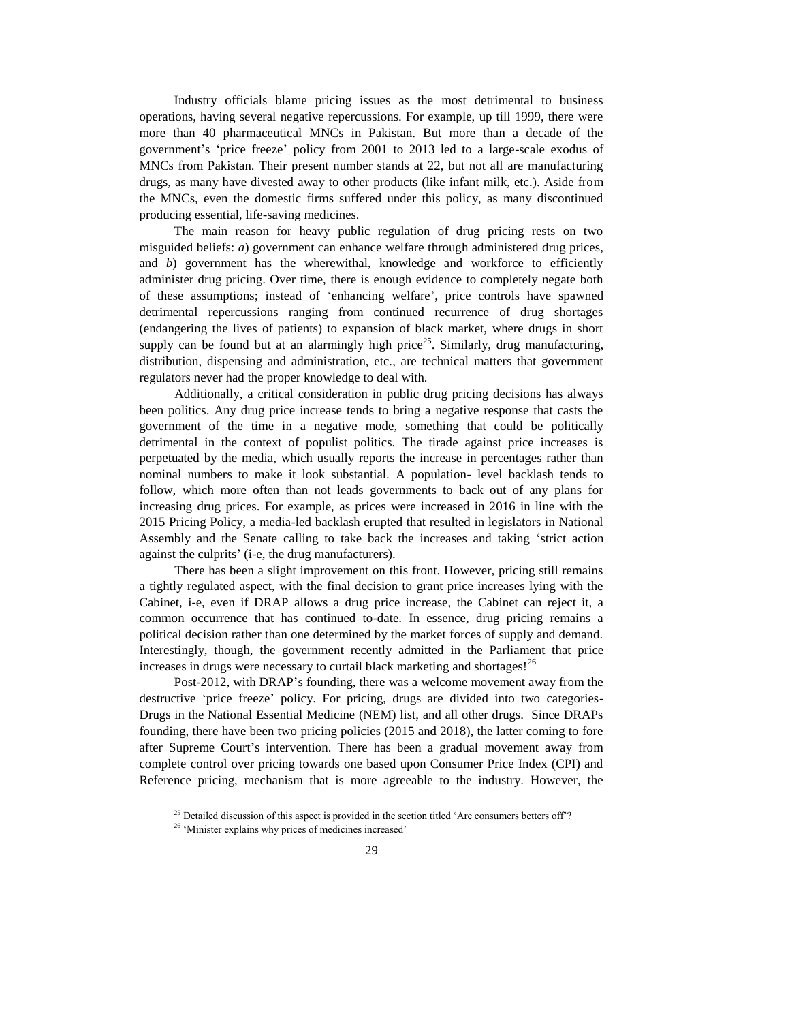Industry officials blame pricing issues as the most detrimental to business operations, having several negative repercussions. For example, up till 1999, there were more than 40 pharmaceutical MNCs in Pakistan. But more than a decade of the government's 'price freeze' policy from 2001 to 2013 led to a large-scale exodus of MNCs from Pakistan. Their present number stands at 22, but not all are manufacturing drugs, as many have divested away to other products (like infant milk, etc.). Aside from the MNCs, even the domestic firms suffered under this policy, as many discontinued producing essential, life-saving medicines.

The main reason for heavy public regulation of drug pricing rests on two misguided beliefs: *a*) government can enhance welfare through administered drug prices, and *b*) government has the wherewithal, knowledge and workforce to efficiently administer drug pricing. Over time, there is enough evidence to completely negate both of these assumptions; instead of 'enhancing welfare', price controls have spawned detrimental repercussions ranging from continued recurrence of drug shortages (endangering the lives of patients) to expansion of black market, where drugs in short supply can be found but at an alarmingly high price<sup>25</sup>. Similarly, drug manufacturing, distribution, dispensing and administration, etc., are technical matters that government regulators never had the proper knowledge to deal with.

Additionally, a critical consideration in public drug pricing decisions has always been politics. Any drug price increase tends to bring a negative response that casts the government of the time in a negative mode, something that could be politically detrimental in the context of populist politics. The tirade against price increases is perpetuated by the media, which usually reports the increase in percentages rather than nominal numbers to make it look substantial. A population- level backlash tends to follow, which more often than not leads governments to back out of any plans for increasing drug prices. For example, as prices were increased in 2016 in line with the 2015 Pricing Policy, a media-led backlash erupted that resulted in legislators in National Assembly and the Senate calling to take back the increases and taking 'strict action against the culprits' (i-e, the drug manufacturers).

There has been a slight improvement on this front. However, pricing still remains a tightly regulated aspect, with the final decision to grant price increases lying with the Cabinet, i-e, even if DRAP allows a drug price increase, the Cabinet can reject it, a common occurrence that has continued to-date. In essence, drug pricing remains a political decision rather than one determined by the market forces of supply and demand. Interestingly, though, the government recently admitted in the Parliament that price increases in drugs were necessary to curtail black marketing and shortages!<sup>26</sup>

Post-2012, with DRAP's founding, there was a welcome movement away from the destructive 'price freeze' policy. For pricing, drugs are divided into two categories-Drugs in the National Essential Medicine (NEM) list, and all other drugs. Since DRAPs founding, there have been two pricing policies (2015 and 2018), the latter coming to fore after Supreme Court's intervention. There has been a gradual movement away from complete control over pricing towards one based upon Consumer Price Index (CPI) and Reference pricing, mechanism that is more agreeable to the industry. However, the

 $\overline{a}$ 

<sup>&</sup>lt;sup>25</sup> Detailed discussion of this aspect is provided in the section titled 'Are consumers betters off'?

<sup>&</sup>lt;sup>26</sup> 'Minister explains why prices of medicines increased'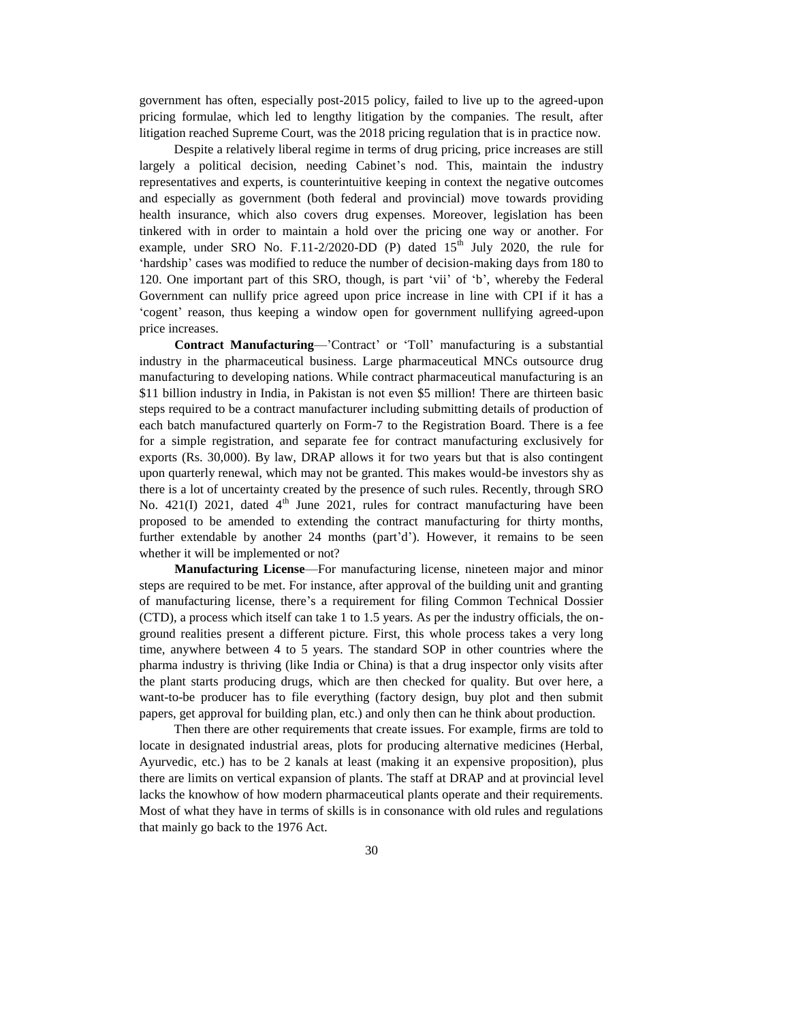government has often, especially post-2015 policy, failed to live up to the agreed-upon pricing formulae, which led to lengthy litigation by the companies. The result, after litigation reached Supreme Court, was the 2018 pricing regulation that is in practice now.

Despite a relatively liberal regime in terms of drug pricing, price increases are still largely a political decision, needing Cabinet's nod. This, maintain the industry representatives and experts, is counterintuitive keeping in context the negative outcomes and especially as government (both federal and provincial) move towards providing health insurance, which also covers drug expenses. Moreover, legislation has been tinkered with in order to maintain a hold over the pricing one way or another. For example, under SRO No. F.11-2/2020-DD (P) dated  $15<sup>th</sup>$  July 2020, the rule for 'hardship' cases was modified to reduce the number of decision-making days from 180 to 120. One important part of this SRO, though, is part 'vii' of 'b', whereby the Federal Government can nullify price agreed upon price increase in line with CPI if it has a 'cogent' reason, thus keeping a window open for government nullifying agreed-upon price increases.

**Contract Manufacturing**—'Contract' or 'Toll' manufacturing is a substantial industry in the pharmaceutical business. Large pharmaceutical MNCs outsource drug manufacturing to developing nations. While contract pharmaceutical manufacturing is an \$11 billion industry in India, in Pakistan is not even \$5 million! There are thirteen basic steps required to be a contract manufacturer including submitting details of production of each batch manufactured quarterly on Form-7 to the Registration Board. There is a fee for a simple registration, and separate fee for contract manufacturing exclusively for exports (Rs. 30,000). By law, DRAP allows it for two years but that is also contingent upon quarterly renewal, which may not be granted. This makes would-be investors shy as there is a lot of uncertainty created by the presence of such rules. Recently, through SRO No.  $421(I)$  2021, dated  $4<sup>th</sup>$  June 2021, rules for contract manufacturing have been proposed to be amended to extending the contract manufacturing for thirty months, further extendable by another 24 months (part'd'). However, it remains to be seen whether it will be implemented or not?

**Manufacturing License**—For manufacturing license, nineteen major and minor steps are required to be met. For instance, after approval of the building unit and granting of manufacturing license, there's a requirement for filing Common Technical Dossier (CTD), a process which itself can take 1 to 1.5 years. As per the industry officials, the onground realities present a different picture. First, this whole process takes a very long time, anywhere between 4 to 5 years. The standard SOP in other countries where the pharma industry is thriving (like India or China) is that a drug inspector only visits after the plant starts producing drugs, which are then checked for quality. But over here, a want-to-be producer has to file everything (factory design, buy plot and then submit papers, get approval for building plan, etc.) and only then can he think about production.

Then there are other requirements that create issues. For example, firms are told to locate in designated industrial areas, plots for producing alternative medicines (Herbal, Ayurvedic, etc.) has to be 2 kanals at least (making it an expensive proposition), plus there are limits on vertical expansion of plants. The staff at DRAP and at provincial level lacks the knowhow of how modern pharmaceutical plants operate and their requirements. Most of what they have in terms of skills is in consonance with old rules and regulations that mainly go back to the 1976 Act.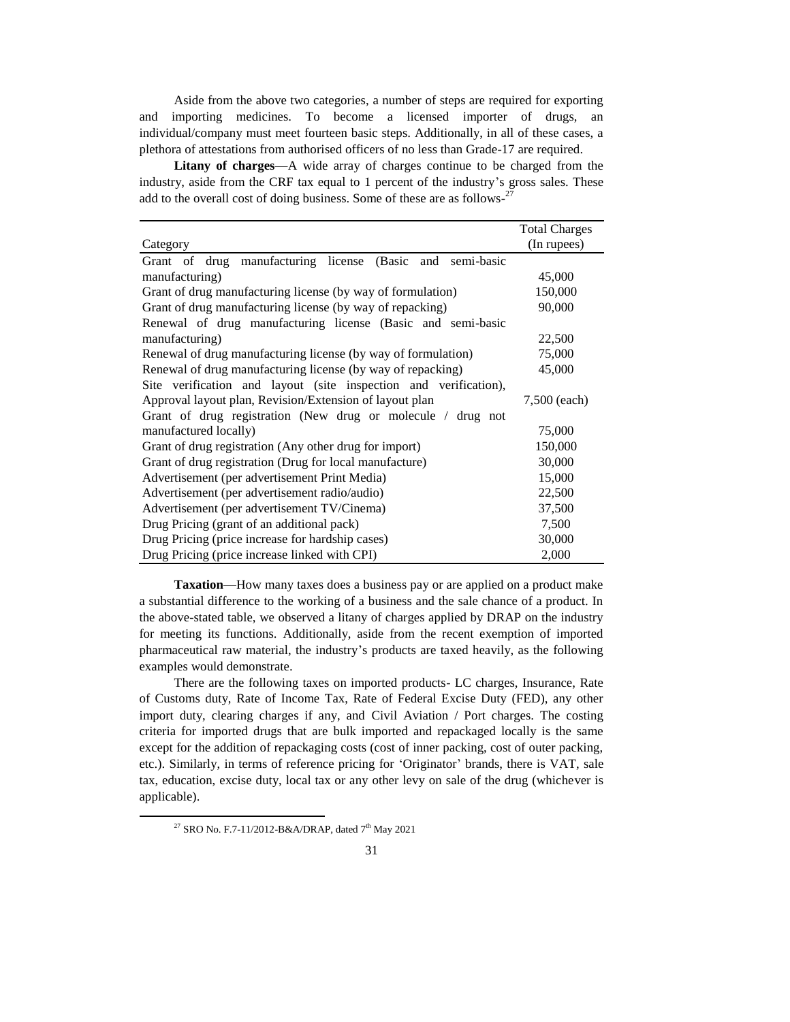Aside from the above two categories, a number of steps are required for exporting and importing medicines. To become a licensed importer of drugs, an individual/company must meet fourteen basic steps. Additionally, in all of these cases, a plethora of attestations from authorised officers of no less than Grade-17 are required.

**Litany of charges**—A wide array of charges continue to be charged from the industry, aside from the CRF tax equal to 1 percent of the industry's gross sales. These add to the overall cost of doing business. Some of these are as follows- $27$ 

|                                                                  | <b>Total Charges</b> |
|------------------------------------------------------------------|----------------------|
| Category                                                         | (In rupees)          |
| Grant of drug manufacturing license<br>(Basic and<br>semi-basic  |                      |
| manufacturing)                                                   | 45,000               |
| Grant of drug manufacturing license (by way of formulation)      | 150,000              |
| Grant of drug manufacturing license (by way of repacking)        | 90,000               |
| Renewal of drug manufacturing license (Basic and semi-basic      |                      |
| manufacturing)                                                   | 22,500               |
| Renewal of drug manufacturing license (by way of formulation)    | 75,000               |
| Renewal of drug manufacturing license (by way of repacking)      | 45,000               |
| Site verification and layout (site inspection and verification), |                      |
| Approval layout plan, Revision/Extension of layout plan          | 7,500 (each)         |
| Grant of drug registration (New drug or molecule / drug not      |                      |
| manufactured locally)                                            | 75,000               |
| Grant of drug registration (Any other drug for import)           | 150,000              |
| Grant of drug registration (Drug for local manufacture)          | 30,000               |
| Advertisement (per advertisement Print Media)                    | 15,000               |
| Advertisement (per advertisement radio/audio)                    | 22,500               |
| Advertisement (per advertisement TV/Cinema)                      | 37,500               |
| Drug Pricing (grant of an additional pack)                       | 7,500                |
| Drug Pricing (price increase for hardship cases)                 | 30,000               |
| Drug Pricing (price increase linked with CPI)                    | 2,000                |

**Taxation**—How many taxes does a business pay or are applied on a product make a substantial difference to the working of a business and the sale chance of a product. In the above-stated table, we observed a litany of charges applied by DRAP on the industry for meeting its functions. Additionally, aside from the recent exemption of imported pharmaceutical raw material, the industry's products are taxed heavily, as the following examples would demonstrate.

There are the following taxes on imported products- LC charges, Insurance, Rate of Customs duty, Rate of Income Tax, Rate of Federal Excise Duty (FED), any other import duty, clearing charges if any, and Civil Aviation / Port charges. The costing criteria for imported drugs that are bulk imported and repackaged locally is the same except for the addition of repackaging costs (cost of inner packing, cost of outer packing, etc.). Similarly, in terms of reference pricing for 'Originator' brands, there is VAT, sale tax, education, excise duty, local tax or any other levy on sale of the drug (whichever is applicable).

<sup>&</sup>lt;sup>27</sup> SRO No. F.7-11/2012-B&A/DRAP, dated  $7<sup>th</sup>$  May 2021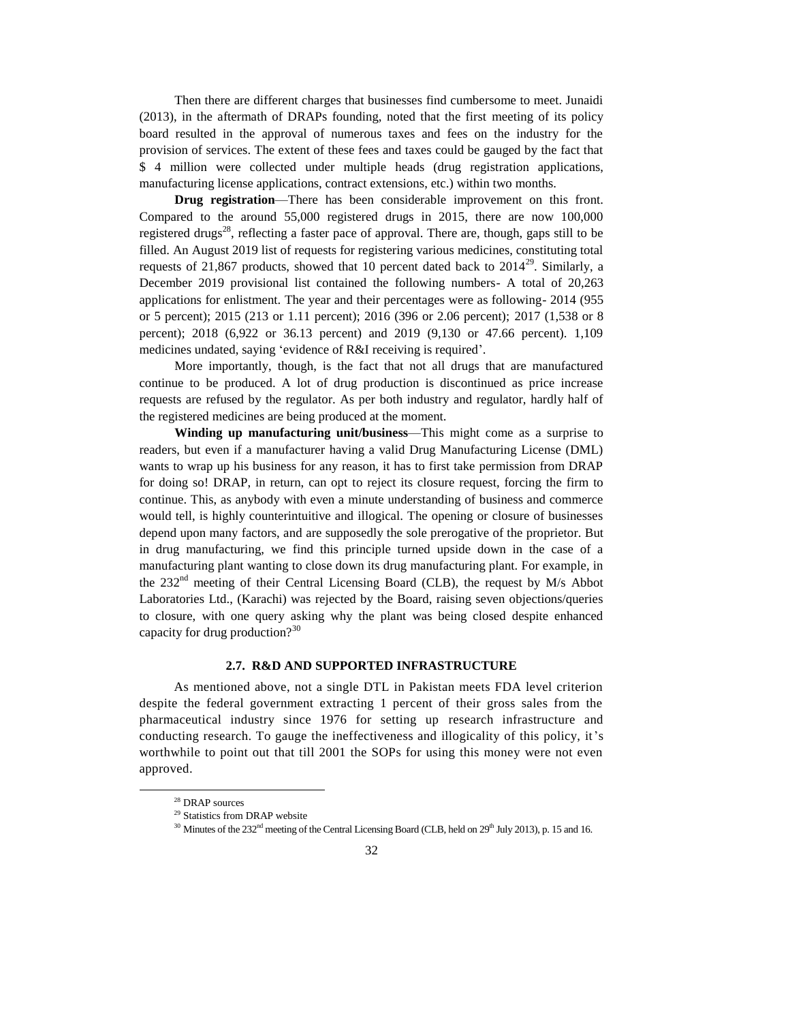Then there are different charges that businesses find cumbersome to meet. Junaidi (2013), in the aftermath of DRAPs founding, noted that the first meeting of its policy board resulted in the approval of numerous taxes and fees on the industry for the provision of services. The extent of these fees and taxes could be gauged by the fact that \$ 4 million were collected under multiple heads (drug registration applications, manufacturing license applications, contract extensions, etc.) within two months.

**Drug registration**—There has been considerable improvement on this front. Compared to the around 55,000 registered drugs in 2015, there are now 100,000 registered drugs<sup>28</sup>, reflecting a faster pace of approval. There are, though, gaps still to be filled. An August 2019 list of requests for registering various medicines, constituting total requests of 21,867 products, showed that 10 percent dated back to  $2014^{29}$ . Similarly, a December 2019 provisional list contained the following numbers- A total of 20,263 applications for enlistment. The year and their percentages were as following- 2014 (955 or 5 percent); 2015 (213 or 1.11 percent); 2016 (396 or 2.06 percent); 2017 (1,538 or 8 percent); 2018 (6,922 or 36.13 percent) and 2019 (9,130 or 47.66 percent). 1,109 medicines undated, saying 'evidence of R&I receiving is required'.

More importantly, though, is the fact that not all drugs that are manufactured continue to be produced. A lot of drug production is discontinued as price increase requests are refused by the regulator. As per both industry and regulator, hardly half of the registered medicines are being produced at the moment.

**Winding up manufacturing unit/business**—This might come as a surprise to readers, but even if a manufacturer having a valid Drug Manufacturing License (DML) wants to wrap up his business for any reason, it has to first take permission from DRAP for doing so! DRAP, in return, can opt to reject its closure request, forcing the firm to continue. This, as anybody with even a minute understanding of business and commerce would tell, is highly counterintuitive and illogical. The opening or closure of businesses depend upon many factors, and are supposedly the sole prerogative of the proprietor. But in drug manufacturing, we find this principle turned upside down in the case of a manufacturing plant wanting to close down its drug manufacturing plant. For example, in the 232<sup>nd</sup> meeting of their Central Licensing Board (CLB), the request by M/s Abbot Laboratories Ltd., (Karachi) was rejected by the Board, raising seven objections/queries to closure, with one query asking why the plant was being closed despite enhanced capacity for drug production? $3^{30}$ 

#### **2.7. R&D AND SUPPORTED INFRASTRUCTURE**

As mentioned above, not a single DTL in Pakistan meets FDA level criterion despite the federal government extracting 1 percent of their gross sales from the pharmaceutical industry since 1976 for setting up research infrastructure and conducting research. To gauge the ineffectiveness and illogicality of this policy, it's worthwhile to point out that till 2001 the SOPs for using this money were not even approved.

<sup>28</sup> DRAP sources

<sup>&</sup>lt;sup>29</sup> Statistics from DRAP website

 $30$  Minutes of the 232<sup>nd</sup> meeting of the Central Licensing Board (CLB, held on  $29<sup>th</sup>$  July 2013), p. 15 and 16.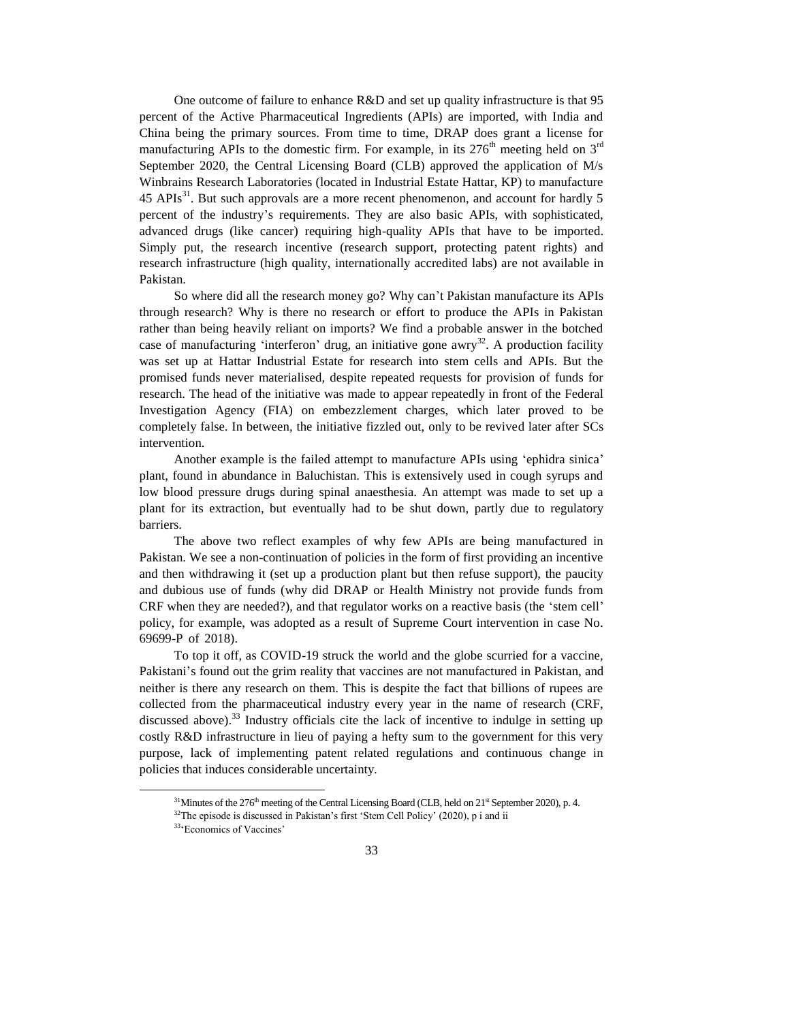One outcome of failure to enhance R&D and set up quality infrastructure is that 95 percent of the Active Pharmaceutical Ingredients (APIs) are imported, with India and China being the primary sources. From time to time, DRAP does grant a license for manufacturing APIs to the domestic firm. For example, in its  $276<sup>th</sup>$  meeting held on  $3<sup>rd</sup>$ September 2020, the Central Licensing Board (CLB) approved the application of M/s Winbrains Research Laboratories (located in Industrial Estate Hattar, KP) to manufacture  $45$  APIs<sup>31</sup>. But such approvals are a more recent phenomenon, and account for hardly 5 percent of the industry's requirements. They are also basic APIs, with sophisticated, advanced drugs (like cancer) requiring high-quality APIs that have to be imported. Simply put, the research incentive (research support, protecting patent rights) and research infrastructure (high quality, internationally accredited labs) are not available in Pakistan.

So where did all the research money go? Why can't Pakistan manufacture its APIs through research? Why is there no research or effort to produce the APIs in Pakistan rather than being heavily reliant on imports? We find a probable answer in the botched case of manufacturing 'interferon' drug, an initiative gone awry<sup>32</sup>. A production facility was set up at Hattar Industrial Estate for research into stem cells and APIs. But the promised funds never materialised, despite repeated requests for provision of funds for research. The head of the initiative was made to appear repeatedly in front of the Federal Investigation Agency (FIA) on embezzlement charges, which later proved to be completely false. In between, the initiative fizzled out, only to be revived later after SCs intervention.

Another example is the failed attempt to manufacture APIs using 'ephidra sinica' plant, found in abundance in Baluchistan. This is extensively used in cough syrups and low blood pressure drugs during spinal anaesthesia. An attempt was made to set up a plant for its extraction, but eventually had to be shut down, partly due to regulatory barriers.

The above two reflect examples of why few APIs are being manufactured in Pakistan. We see a non-continuation of policies in the form of first providing an incentive and then withdrawing it (set up a production plant but then refuse support), the paucity and dubious use of funds (why did DRAP or Health Ministry not provide funds from CRF when they are needed?), and that regulator works on a reactive basis (the 'stem cell' policy, for example, was adopted as a result of Supreme Court intervention in case No. 69699-P of 2018).

To top it off, as COVID-19 struck the world and the globe scurried for a vaccine, Pakistani's found out the grim reality that vaccines are not manufactured in Pakistan, and neither is there any research on them. This is despite the fact that billions of rupees are collected from the pharmaceutical industry every year in the name of research (CRF, discussed above).<sup>33</sup> Industry officials cite the lack of incentive to indulge in setting up costly R&D infrastructure in lieu of paying a hefty sum to the government for this very purpose, lack of implementing patent related regulations and continuous change in policies that induces considerable uncertainty.

 $31$ Minutes of the 276<sup>th</sup> meeting of the Central Licensing Board (CLB, held on  $21<sup>st</sup>$  September 2020), p. 4.

<sup>&</sup>lt;sup>32</sup>The episode is discussed in Pakistan's first 'Stem Cell Policy' (2020), p i and ii

<sup>33</sup>'Economics of Vaccines'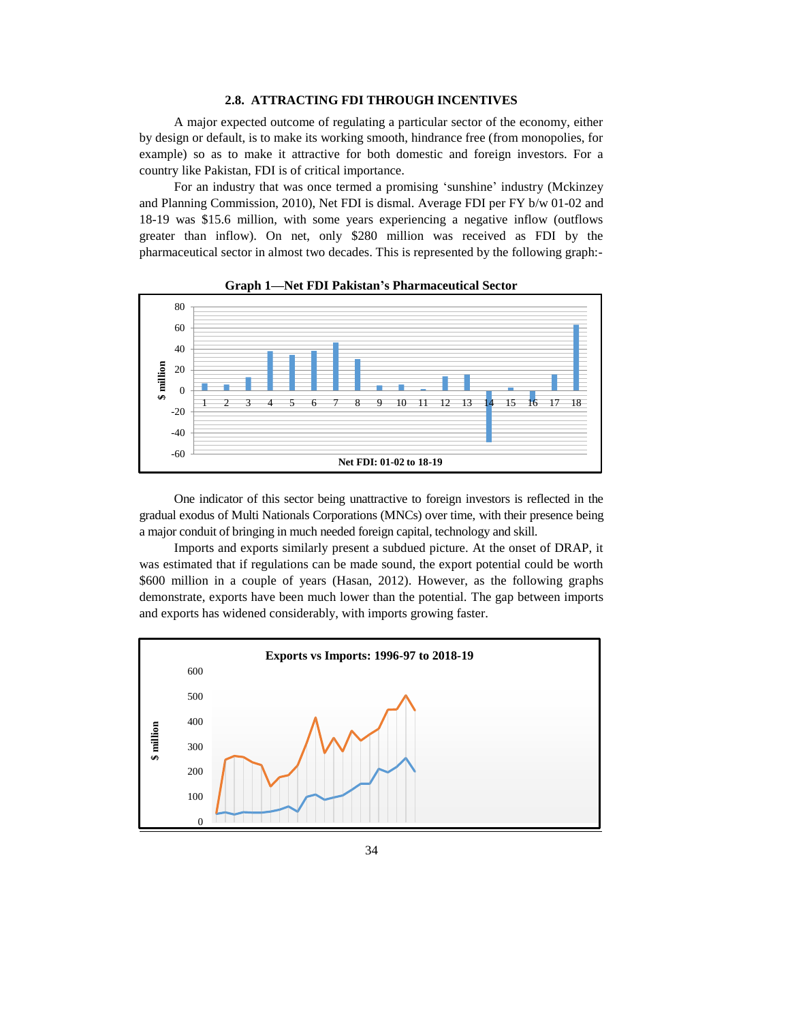# **2.8. ATTRACTING FDI THROUGH INCENTIVES**

A major expected outcome of regulating a particular sector of the economy, either by design or default, is to make its working smooth, hindrance free (from monopolies, for example) so as to make it attractive for both domestic and foreign investors. For a country like Pakistan, FDI is of critical importance.

For an industry that was once termed a promising 'sunshine' industry (Mckinzey and Planning Commission, 2010), Net FDI is dismal. Average FDI per FY b/w 01-02 and 18-19 was \$15.6 million, with some years experiencing a negative inflow (outflows greater than inflow). On net, only \$280 million was received as FDI by the pharmaceutical sector in almost two decades. This is represented by the following graph:-





One indicator of this sector being unattractive to foreign investors is reflected in the gradual exodus of Multi Nationals Corporations (MNCs) over time, with their presence being a major conduit of bringing in much needed foreign capital, technology and skill.

Imports and exports similarly present a subdued picture. At the onset of DRAP, it was estimated that if regulations can be made sound, the export potential could be worth \$600 million in a couple of years (Hasan, 2012). However, as the following graphs demonstrate, exports have been much lower than the potential. The gap between imports and exports has widened considerably, with imports growing faster.

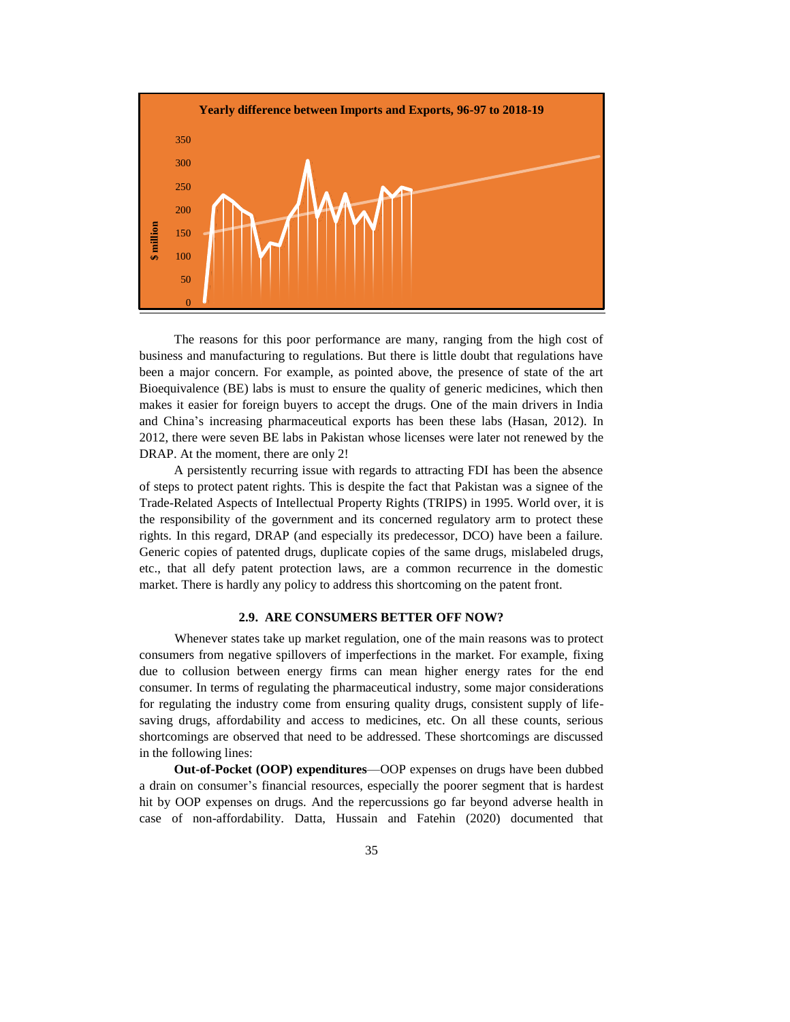

The reasons for this poor performance are many, ranging from the high cost of business and manufacturing to regulations. But there is little doubt that regulations have been a major concern. For example, as pointed above, the presence of state of the art Bioequivalence (BE) labs is must to ensure the quality of generic medicines, which then makes it easier for foreign buyers to accept the drugs. One of the main drivers in India and China's increasing pharmaceutical exports has been these labs (Hasan, 2012). In 2012, there were seven BE labs in Pakistan whose licenses were later not renewed by the DRAP. At the moment, there are only 2!

A persistently recurring issue with regards to attracting FDI has been the absence of steps to protect patent rights. This is despite the fact that Pakistan was a signee of the Trade-Related Aspects of Intellectual Property Rights (TRIPS) in 1995. World over, it is the responsibility of the government and its concerned regulatory arm to protect these rights. In this regard, DRAP (and especially its predecessor, DCO) have been a failure. Generic copies of patented drugs, duplicate copies of the same drugs, mislabeled drugs, etc., that all defy patent protection laws, are a common recurrence in the domestic market. There is hardly any policy to address this shortcoming on the patent front.

# **2.9. ARE CONSUMERS BETTER OFF NOW?**

Whenever states take up market regulation, one of the main reasons was to protect consumers from negative spillovers of imperfections in the market. For example, fixing due to collusion between energy firms can mean higher energy rates for the end consumer. In terms of regulating the pharmaceutical industry, some major considerations for regulating the industry come from ensuring quality drugs, consistent supply of lifesaving drugs, affordability and access to medicines, etc. On all these counts, serious shortcomings are observed that need to be addressed. These shortcomings are discussed in the following lines:

**Out-of-Pocket (OOP) expenditures**—OOP expenses on drugs have been dubbed a drain on consumer's financial resources, especially the poorer segment that is hardest hit by OOP expenses on drugs. And the repercussions go far beyond adverse health in case of non-affordability. Datta, Hussain and Fatehin (2020) documented that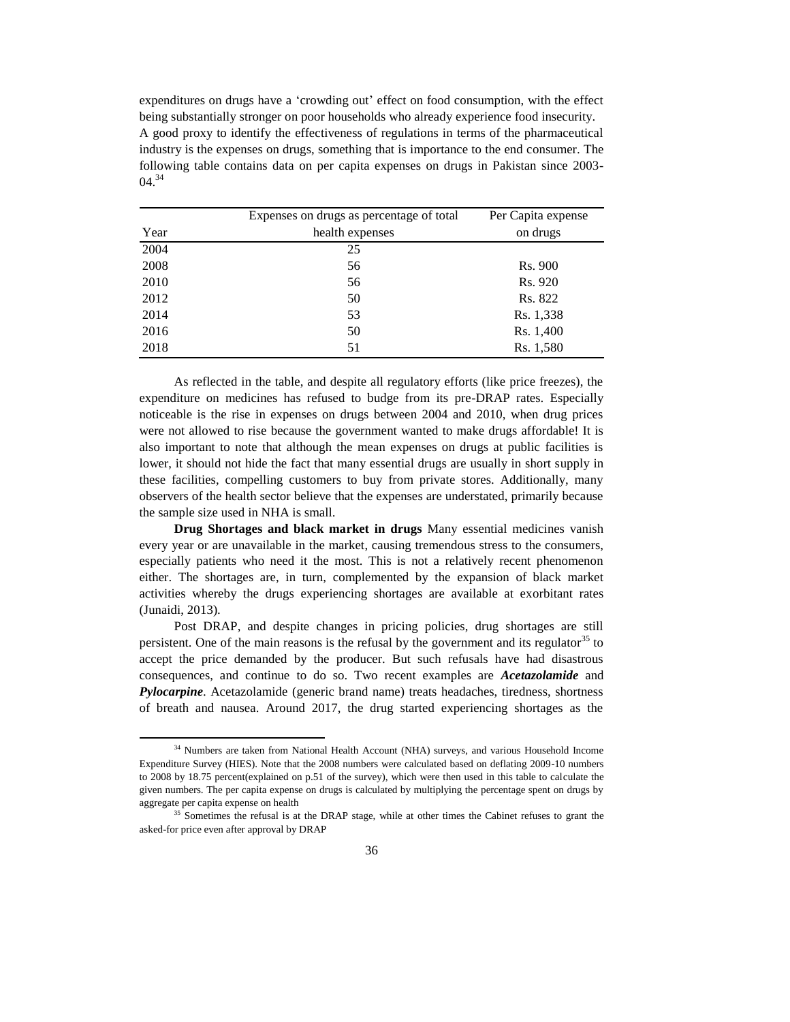expenditures on drugs have a 'crowding out' effect on food consumption, with the effect being substantially stronger on poor households who already experience food insecurity. A good proxy to identify the effectiveness of regulations in terms of the pharmaceutical industry is the expenses on drugs, something that is importance to the end consumer. The following table contains data on per capita expenses on drugs in Pakistan since 2003-  $04.<sup>34</sup>$ 

|      | Expenses on drugs as percentage of total | Per Capita expense |
|------|------------------------------------------|--------------------|
| Year | health expenses                          | on drugs           |
| 2004 | 25                                       |                    |
| 2008 | 56                                       | Rs. 900            |
| 2010 | 56                                       | Rs. 920            |
| 2012 | 50                                       | Rs. 822            |
| 2014 | 53                                       | Rs. 1,338          |
| 2016 | 50                                       | Rs. 1,400          |
| 2018 | 51                                       | Rs. 1,580          |

As reflected in the table, and despite all regulatory efforts (like price freezes), the expenditure on medicines has refused to budge from its pre-DRAP rates. Especially noticeable is the rise in expenses on drugs between 2004 and 2010, when drug prices were not allowed to rise because the government wanted to make drugs affordable! It is also important to note that although the mean expenses on drugs at public facilities is lower, it should not hide the fact that many essential drugs are usually in short supply in these facilities, compelling customers to buy from private stores. Additionally, many observers of the health sector believe that the expenses are understated, primarily because the sample size used in NHA is small.

**Drug Shortages and black market in drugs** Many essential medicines vanish every year or are unavailable in the market, causing tremendous stress to the consumers, especially patients who need it the most. This is not a relatively recent phenomenon either. The shortages are, in turn, complemented by the expansion of black market activities whereby the drugs experiencing shortages are available at exorbitant rates (Junaidi, 2013).

Post DRAP, and despite changes in pricing policies, drug shortages are still persistent. One of the main reasons is the refusal by the government and its regulator  $35$  to accept the price demanded by the producer. But such refusals have had disastrous consequences, and continue to do so. Two recent examples are *Acetazolamide* and *Pylocarpine*. Acetazolamide (generic brand name) treats headaches, tiredness, shortness of breath and nausea. Around 2017, the drug started experiencing shortages as the

<sup>&</sup>lt;sup>34</sup> Numbers are taken from National Health Account (NHA) surveys, and various Household Income Expenditure Survey (HIES). Note that the 2008 numbers were calculated based on deflating 2009-10 numbers to 2008 by 18.75 percent(explained on p.51 of the survey), which were then used in this table to calculate the given numbers. The per capita expense on drugs is calculated by multiplying the percentage spent on drugs by aggregate per capita expense on health

<sup>&</sup>lt;sup>35</sup> Sometimes the refusal is at the DRAP stage, while at other times the Cabinet refuses to grant the asked-for price even after approval by DRAP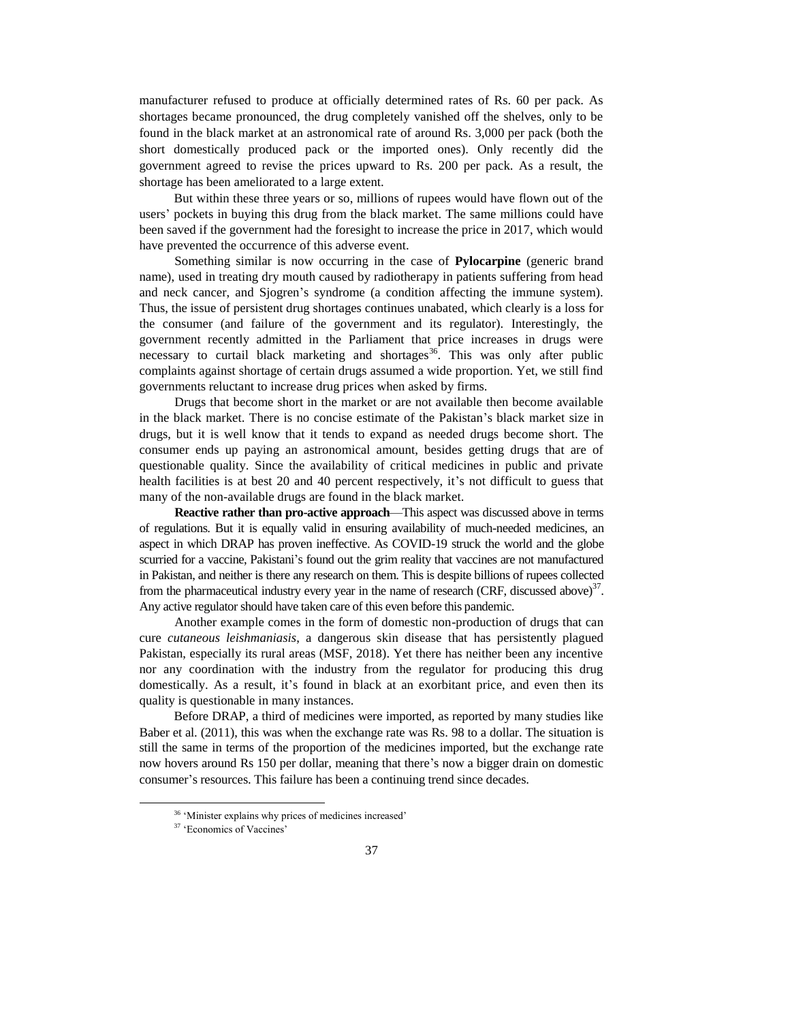manufacturer refused to produce at officially determined rates of Rs. 60 per pack. As shortages became pronounced, the drug completely vanished off the shelves, only to be found in the black market at an astronomical rate of around Rs. 3,000 per pack (both the short domestically produced pack or the imported ones). Only recently did the government agreed to revise the prices upward to Rs. 200 per pack. As a result, the shortage has been ameliorated to a large extent.

But within these three years or so, millions of rupees would have flown out of the users' pockets in buying this drug from the black market. The same millions could have been saved if the government had the foresight to increase the price in 2017, which would have prevented the occurrence of this adverse event.

Something similar is now occurring in the case of **Pylocarpine** (generic brand name), used in treating dry mouth caused by radiotherapy in patients suffering from head and neck cancer, and Sjogren's syndrome (a condition affecting the immune system). Thus, the issue of persistent drug shortages continues unabated, which clearly is a loss for the consumer (and failure of the government and its regulator). Interestingly, the government recently admitted in the Parliament that price increases in drugs were necessary to curtail black marketing and shortages<sup>36</sup>. This was only after public complaints against shortage of certain drugs assumed a wide proportion. Yet, we still find governments reluctant to increase drug prices when asked by firms.

Drugs that become short in the market or are not available then become available in the black market. There is no concise estimate of the Pakistan's black market size in drugs, but it is well know that it tends to expand as needed drugs become short. The consumer ends up paying an astronomical amount, besides getting drugs that are of questionable quality. Since the availability of critical medicines in public and private health facilities is at best 20 and 40 percent respectively, it's not difficult to guess that many of the non-available drugs are found in the black market.

**Reactive rather than pro-active approach**—This aspect was discussed above in terms of regulations. But it is equally valid in ensuring availability of much-needed medicines, an aspect in which DRAP has proven ineffective. As COVID-19 struck the world and the globe scurried for a vaccine, Pakistani's found out the grim reality that vaccines are not manufactured in Pakistan, and neither is there any research on them. This is despite billions of rupees collected from the pharmaceutical industry every year in the name of research (CRF, discussed above) $37$ . Any active regulator should have taken care of this even before this pandemic.

Another example comes in the form of domestic non-production of drugs that can cure *cutaneous leishmaniasis*, a dangerous skin disease that has persistently plagued Pakistan, especially its rural areas (MSF, 2018). Yet there has neither been any incentive nor any coordination with the industry from the regulator for producing this drug domestically. As a result, it's found in black at an exorbitant price, and even then its quality is questionable in many instances.

Before DRAP, a third of medicines were imported, as reported by many studies like Baber et al. (2011), this was when the exchange rate was Rs. 98 to a dollar. The situation is still the same in terms of the proportion of the medicines imported, but the exchange rate now hovers around Rs 150 per dollar, meaning that there's now a bigger drain on domestic consumer's resources. This failure has been a continuing trend since decades.

 $\overline{a}$ 

<sup>36</sup> 'Minister explains why prices of medicines increased'

<sup>37</sup> 'Economics of Vaccines'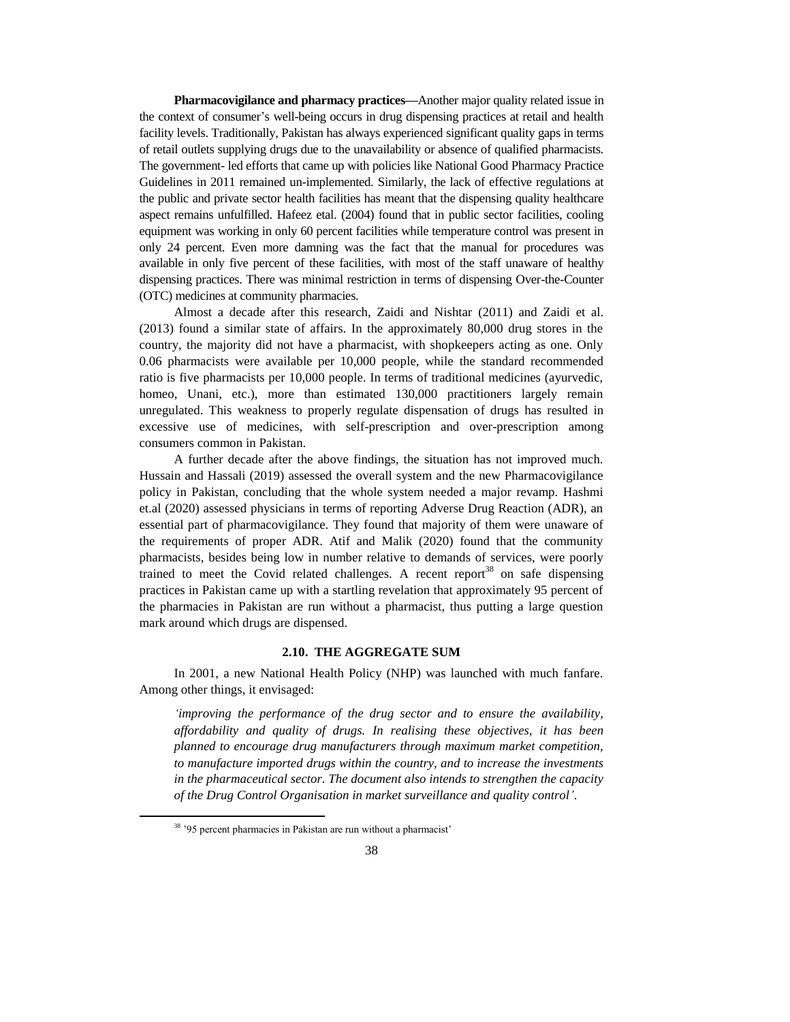**Pharmacovigilance and pharmacy practices—**Another major quality related issue in the context of consumer's well-being occurs in drug dispensing practices at retail and health facility levels. Traditionally, Pakistan has always experienced significant quality gaps in terms of retail outlets supplying drugs due to the unavailability or absence of qualified pharmacists. The government- led efforts that came up with policies like National Good Pharmacy Practice Guidelines in 2011 remained un-implemented. Similarly, the lack of effective regulations at the public and private sector health facilities has meant that the dispensing quality healthcare aspect remains unfulfilled. Hafeez etal. (2004) found that in public sector facilities, cooling equipment was working in only 60 percent facilities while temperature control was present in only 24 percent. Even more damning was the fact that the manual for procedures was available in only five percent of these facilities, with most of the staff unaware of healthy dispensing practices. There was minimal restriction in terms of dispensing Over-the-Counter (OTC) medicines at community pharmacies.

Almost a decade after this research, Zaidi and Nishtar (2011) and Zaidi et al. (2013) found a similar state of affairs. In the approximately 80,000 drug stores in the country, the majority did not have a pharmacist, with shopkeepers acting as one. Only 0.06 pharmacists were available per 10,000 people, while the standard recommended ratio is five pharmacists per 10,000 people. In terms of traditional medicines (ayurvedic, homeo, Unani, etc.), more than estimated 130,000 practitioners largely remain unregulated. This weakness to properly regulate dispensation of drugs has resulted in excessive use of medicines, with self-prescription and over-prescription among consumers common in Pakistan.

A further decade after the above findings, the situation has not improved much. Hussain and Hassali (2019) assessed the overall system and the new Pharmacovigilance policy in Pakistan, concluding that the whole system needed a major revamp. Hashmi et.al (2020) assessed physicians in terms of reporting Adverse Drug Reaction (ADR), an essential part of pharmacovigilance. They found that majority of them were unaware of the requirements of proper ADR. Atif and Malik (2020) found that the community pharmacists, besides being low in number relative to demands of services, were poorly trained to meet the Covid related challenges. A recent report<sup>38</sup> on safe dispensing practices in Pakistan came up with a startling revelation that approximately 95 percent of the pharmacies in Pakistan are run without a pharmacist, thus putting a large question mark around which drugs are dispensed.

# **2.10. THE AGGREGATE SUM**

In 2001, a new National Health Policy (NHP) was launched with much fanfare. Among other things, it envisaged:

*'improving the performance of the drug sector and to ensure the availability, affordability and quality of drugs. In realising these objectives, it has been planned to encourage drug manufacturers through maximum market competition, to manufacture imported drugs within the country, and to increase the investments in the pharmaceutical sector. The document also intends to strengthen the capacity of the Drug Control Organisation in market surveillance and quality control'*.

<sup>38</sup> '95 percent pharmacies in Pakistan are run without a pharmacist'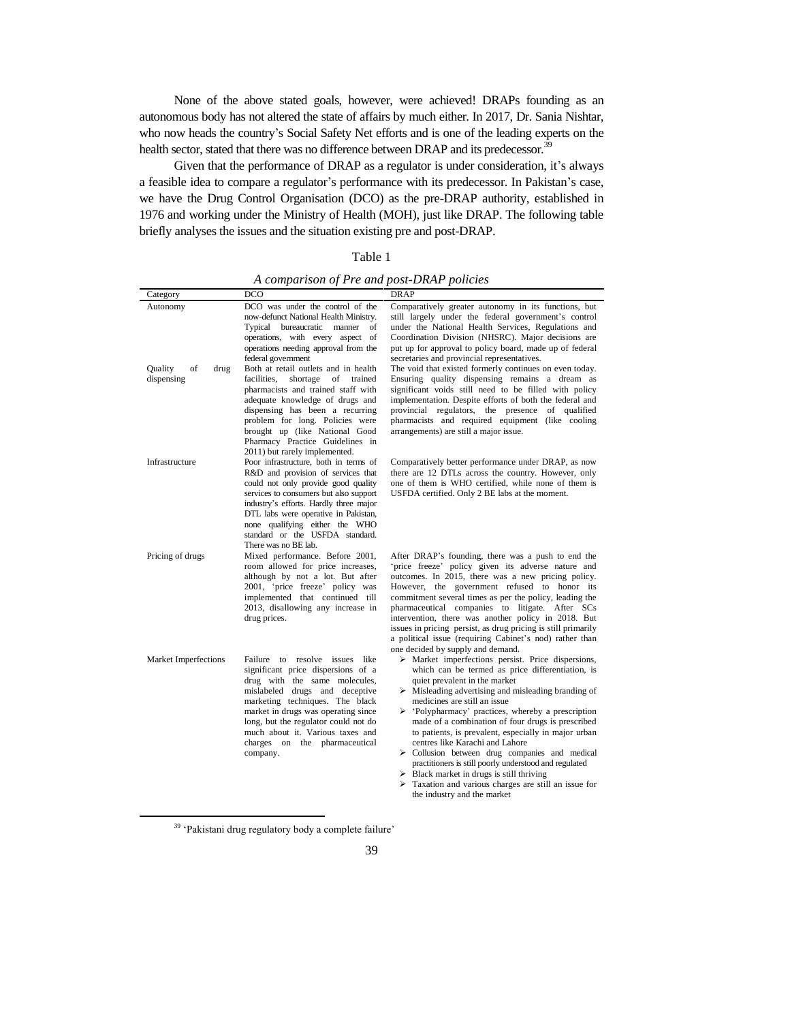None of the above stated goals, however, were achieved! DRAPs founding as an autonomous body has not altered the state of affairs by much either. In 2017, Dr. Sania Nishtar, who now heads the country's Social Safety Net efforts and is one of the leading experts on the health sector, stated that there was no difference between DRAP and its predecessor.<sup>39</sup>

Given that the performance of DRAP as a regulator is under consideration, it's always a feasible idea to compare a regulator's performance with its predecessor. In Pakistan's case, we have the Drug Control Organisation (DCO) as the pre-DRAP authority, established in 1976 and working under the Ministry of Health (MOH), just like DRAP. The following table briefly analyses the issues and the situation existing pre and post-DRAP.

# Table 1

*A comparison of Pre and post-DRAP policies*

| Category                                   | DCO                                                                                                                                                                                                                                                                                                                                         | DRAP                                                                                                                                                                                                                                                                                                                                                                                                                                                                                                                                                                                                                                                                     |  |
|--------------------------------------------|---------------------------------------------------------------------------------------------------------------------------------------------------------------------------------------------------------------------------------------------------------------------------------------------------------------------------------------------|--------------------------------------------------------------------------------------------------------------------------------------------------------------------------------------------------------------------------------------------------------------------------------------------------------------------------------------------------------------------------------------------------------------------------------------------------------------------------------------------------------------------------------------------------------------------------------------------------------------------------------------------------------------------------|--|
| Autonomy                                   | DCO was under the control of the<br>now-defunct National Health Ministry.<br>Typical bureaucratic<br>manner<br>of<br>operations, with every aspect of<br>operations needing approval from the<br>federal government                                                                                                                         | Comparatively greater autonomy in its functions, but<br>still largely under the federal government's control<br>under the National Health Services, Regulations and<br>Coordination Division (NHSRC). Major decisions are<br>put up for approval to policy board, made up of federal<br>secretaries and provincial representatives.                                                                                                                                                                                                                                                                                                                                      |  |
| <b>Quality</b><br>of<br>drug<br>dispensing | Both at retail outlets and in health<br>facilities.<br>shortage<br>of<br>trained<br>pharmacists and trained staff with<br>adequate knowledge of drugs and<br>dispensing has been a recurring<br>problem for long. Policies were<br>brought up (like National Good<br>Pharmacy Practice Guidelines in<br>2011) but rarely implemented.       | The void that existed formerly continues on even today.<br>Ensuring quality dispensing remains a dream as<br>significant voids still need to be filled with policy<br>implementation. Despite efforts of both the federal and<br>provincial regulators, the presence of qualified<br>pharmacists and required equipment (like cooling<br>arrangements) are still a major issue.                                                                                                                                                                                                                                                                                          |  |
| Infrastructure                             | Poor infrastructure, both in terms of<br>R&D and provision of services that<br>could not only provide good quality<br>services to consumers but also support<br>industry's efforts. Hardly three major<br>DTL labs were operative in Pakistan,<br>none qualifying either the WHO<br>standard or the USFDA standard.<br>There was no BE lab. | Comparatively better performance under DRAP, as now<br>there are 12 DTLs across the country. However, only<br>one of them is WHO certified, while none of them is<br>USFDA certified. Only 2 BE labs at the moment.                                                                                                                                                                                                                                                                                                                                                                                                                                                      |  |
| Pricing of drugs                           | Mixed performance. Before 2001,<br>room allowed for price increases,<br>although by not a lot. But after<br>2001, 'price freeze' policy was<br>implemented that continued till<br>2013, disallowing any increase in<br>drug prices.                                                                                                         | After DRAP's founding, there was a push to end the<br>'price freeze' policy given its adverse nature and<br>outcomes. In 2015, there was a new pricing policy.<br>However, the government refused to honor its<br>commitment several times as per the policy, leading the<br>pharmaceutical companies to litigate. After SCs<br>intervention, there was another policy in 2018. But<br>issues in pricing persist, as drug pricing is still primarily<br>a political issue (requiring Cabinet's nod) rather than<br>one decided by supply and demand.                                                                                                                     |  |
| Market Imperfections                       | Failure to resolve issues like<br>significant price dispersions of a<br>drug with the same molecules,<br>mislabeled drugs and deceptive<br>marketing techniques. The black<br>market in drugs was operating since<br>long, but the regulator could not do<br>much about it. Various taxes and<br>charges on the pharmaceutical<br>company.  | $\triangleright$ Market imperfections persist. Price dispersions,<br>which can be termed as price differentiation, is<br>quiet prevalent in the market<br>$\triangleright$ Misleading advertising and misleading branding of<br>medicines are still an issue<br>$\triangleright$ 'Polypharmacy' practices, whereby a prescription<br>made of a combination of four drugs is prescribed<br>to patients, is prevalent, especially in major urban<br>centres like Karachi and Lahore<br>$\triangleright$ Collusion between drug companies and medical<br>practitioners is still poorly understood and regulated<br>$\triangleright$ Black market in drugs is still thriving |  |

 Taxation and various charges are still an issue for the industry and the market

<sup>39</sup> 'Pakistani drug regulatory body a complete failure'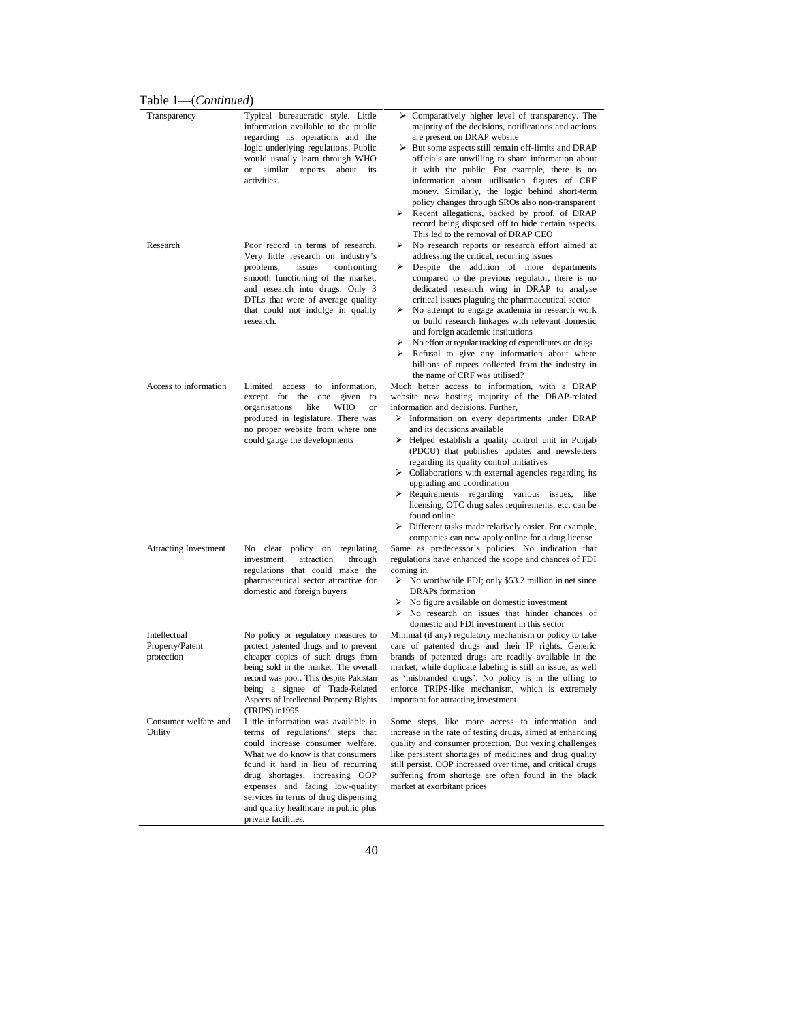| information available to the public<br>regarding its operations and the<br>logic underlying regulations. Public<br>would usually learn through WHO<br>similar reports about its<br><b>or</b>                                                                | majority of the decisions, notifications and actions<br>are present on DRAP website<br>$\triangleright$ But some aspects still remain off-limits and DRAP                                                                                                                                                                                                                              |
|-------------------------------------------------------------------------------------------------------------------------------------------------------------------------------------------------------------------------------------------------------------|----------------------------------------------------------------------------------------------------------------------------------------------------------------------------------------------------------------------------------------------------------------------------------------------------------------------------------------------------------------------------------------|
|                                                                                                                                                                                                                                                             | officials are unwilling to share information about<br>it with the public. For example, there is no                                                                                                                                                                                                                                                                                     |
| activities.                                                                                                                                                                                                                                                 | information about utilisation figures of CRF<br>money. Similarly, the logic behind short-term<br>policy changes through SROs also non-transparent<br>$\triangleright$ Recent allegations, backed by proof, of DRAP                                                                                                                                                                     |
| Poor record in terms of research.<br>Very little research on industry's                                                                                                                                                                                     | record being disposed off to hide certain aspects.<br>This led to the removal of DRAP CEO<br>No research reports or research effort aimed at<br>≻<br>addressing the critical, recurring issues<br>Despite the addition of more departments<br>≻                                                                                                                                        |
| smooth functioning of the market,<br>and research into drugs. Only 3<br>DTLs that were of average quality<br>that could not indulge in quality<br>research.                                                                                                 | compared to the previous regulator, there is no<br>dedicated research wing in DRAP to analyse<br>critical issues plaguing the pharmaceutical sector<br>No attempt to engage academia in research work<br>≻<br>or build research linkages with relevant domestic<br>and foreign academic institutions                                                                                   |
|                                                                                                                                                                                                                                                             | No effort at regular tracking of expenditures on drugs<br>≻<br>$\triangleright$ Refusal to give any information about where<br>billions of rupees collected from the industry in<br>the name of CRF was utilised?                                                                                                                                                                      |
| Limited access<br>to information,<br>given to<br>except for the one<br>organisations<br>like<br><b>WHO</b><br><b>or</b>                                                                                                                                     | Much better access to information, with a DRAP<br>website now hosting majority of the DRAP-related<br>information and decisions. Further,                                                                                                                                                                                                                                              |
| produced in legislature. There was<br>no proper website from where one<br>could gauge the developments                                                                                                                                                      | $\triangleright$ Information on every departments under DRAP<br>and its decisions available<br>$\triangleright$ Helped establish a quality control unit in Punjab<br>(PDCU) that publishes updates and newsletters                                                                                                                                                                     |
|                                                                                                                                                                                                                                                             | regarding its quality control initiatives<br>$\triangleright$ Collaborations with external agencies regarding its<br>upgrading and coordination<br>> Requirements regarding various issues, like                                                                                                                                                                                       |
|                                                                                                                                                                                                                                                             | licensing, OTC drug sales requirements, etc. can be<br>found online<br>$\triangleright$ Different tasks made relatively easier. For example,                                                                                                                                                                                                                                           |
| No clear policy on regulating<br>attraction<br>investment<br>through                                                                                                                                                                                        | companies can now apply online for a drug license<br>Same as predecessor's policies. No indication that<br>regulations have enhanced the scope and chances of FDI<br>coming in.                                                                                                                                                                                                        |
| pharmaceutical sector attractive for<br>domestic and foreign buyers                                                                                                                                                                                         | $\triangleright$ No worthwhile FDI; only \$53.2 million in net since<br><b>DRAPs</b> formation<br>$\triangleright$ No figure available on domestic investment                                                                                                                                                                                                                          |
|                                                                                                                                                                                                                                                             | $\triangleright$ No research on issues that hinder chances of<br>domestic and FDI investment in this sector                                                                                                                                                                                                                                                                            |
| No policy or regulatory measures to<br>protect patented drugs and to prevent<br>cheaper copies of such drugs from                                                                                                                                           | Minimal (if any) regulatory mechanism or policy to take<br>care of patented drugs and their IP rights. Generic<br>brands of patented drugs are readily available in the<br>market, while duplicate labeling is still an issue, as well                                                                                                                                                 |
| record was poor. This despite Pakistan<br>being a signee of Trade-Related<br>Aspects of Intellectual Property Rights                                                                                                                                        | as 'misbranded drugs'. No policy is in the offing to<br>enforce TRIPS-like mechanism, which is extremely<br>important for attracting investment.                                                                                                                                                                                                                                       |
| Little information was available in<br>terms of regulations/ steps that<br>could increase consumer welfare.<br>What we do know is that consumers<br>found it hard in lieu of recurring<br>drug shortages, increasing OOP<br>expenses and facing low-quality | Some steps, like more access to information and<br>increase in the rate of testing drugs, aimed at enhancing<br>quality and consumer protection. But vexing challenges<br>like persistent shortages of medicines and drug quality<br>still persist. OOP increased over time, and critical drugs<br>suffering from shortage are often found in the black<br>market at exorbitant prices |
|                                                                                                                                                                                                                                                             | issues<br>confronting<br>problems,<br>regulations that could make the<br>being sold in the market. The overall<br>(TRIPS) in 1995<br>services in terms of drug dispensing<br>and quality healthcare in public plus<br>private facilities.                                                                                                                                              |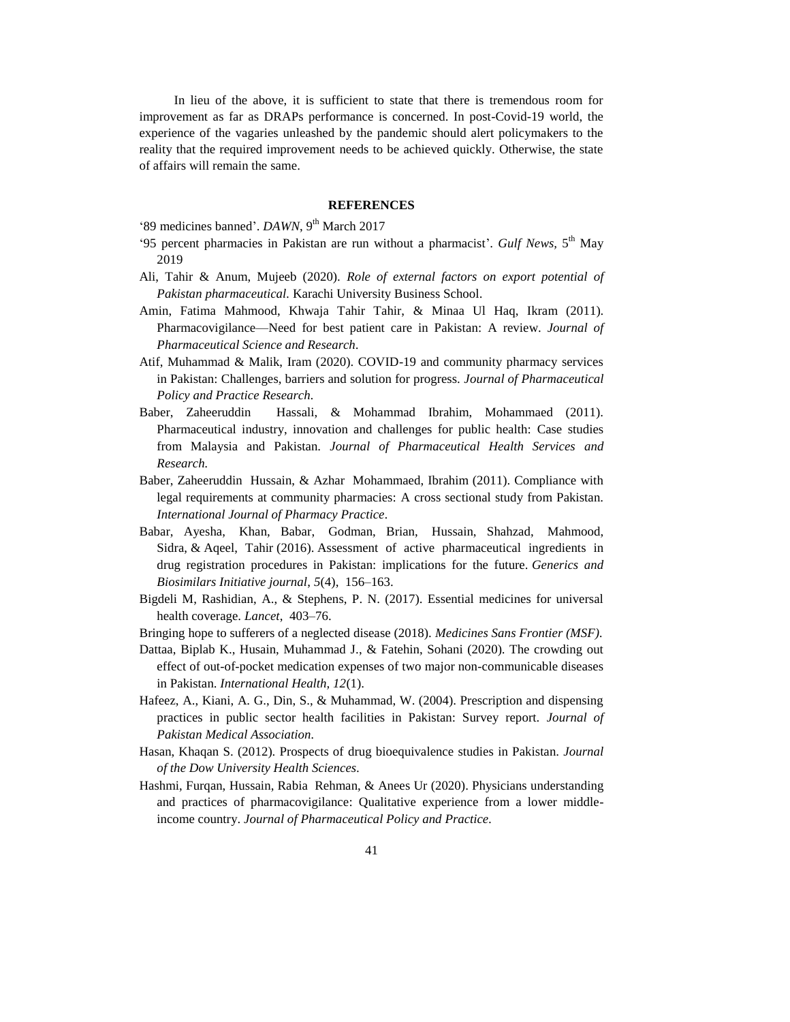In lieu of the above, it is sufficient to state that there is tremendous room for improvement as far as DRAPs performance is concerned. In post-Covid-19 world, the experience of the vagaries unleashed by the pandemic should alert policymakers to the reality that the required improvement needs to be achieved quickly. Otherwise, the state of affairs will remain the same.

#### **REFERENCES**

'89 medicines banned'. *DAWN*, 9<sup>th</sup> March 2017

- '95 percent pharmacies in Pakistan are run without a pharmacist'. *Gulf News*, 5<sup>th</sup> May 2019
- Ali, Tahir & Anum, Mujeeb (2020). *Role of external factors on export potential of Pakistan pharmaceutical.* Karachi University Business School.
- Amin, Fatima Mahmood, Khwaja Tahir Tahir, & Minaa Ul Haq, Ikram (2011). Pharmacovigilance—Need for best patient care in Pakistan: A review. *Journal of Pharmaceutical Science and Research.*
- Atif, Muhammad & Malik, Iram (2020). COVID-19 and community pharmacy services in Pakistan: Challenges, barriers and solution for progress. *Journal of Pharmaceutical Policy and Practice Research.*
- Baber, Zaheeruddin Hassali, & Mohammad Ibrahim, Mohammaed (2011). Pharmaceutical industry, innovation and challenges for public health: Case studies from Malaysia and Pakistan. *Journal of Pharmaceutical Health Services and Research.*
- Baber, Zaheeruddin Hussain, & Azhar Mohammaed, Ibrahim (2011). Compliance with legal requirements at community pharmacies: A cross sectional study from Pakistan. *International Journal of Pharmacy Practice.*
- Babar, Ayesha, Khan, Babar, [Godman, Brian,](https://strathprints.strath.ac.uk/view/author/921341.html) Hussain, Shahzad, Mahmood, Sidra, & Aqeel, Tahir [\(2016\)](https://strathprints.strath.ac.uk/view/year/2016.html). Assessment of active pharmaceutical ingredients in drug registration procedures in Pakistan: implications for the future. *[Generics and](https://strathprints.strath.ac.uk/view/publications/Generics_and_Biosimilars_Initiative_journal.html)  [Biosimilars Initiative journal](https://strathprints.strath.ac.uk/view/publications/Generics_and_Biosimilars_Initiative_journal.html)*, *5*(4), 156–163.
- Bigdeli M, Rashidian, A., & Stephens, P. N. (2017). Essential medicines for universal health coverage. *Lancet*, 403–76.
- Bringing hope to sufferers of a neglected disease (2018). *Medicines Sans Frontier (MSF).*
- Dattaa, Biplab K., Husain, Muhammad J., & Fatehin, Sohani (2020). The crowding out effect of out-of-pocket medication expenses of two major non-communicable diseases in Pakistan. *International Health, 12*(1).
- Hafeez, A., Kiani, A. G., Din, S., & Muhammad, W. (2004). Prescription and dispensing practices in public sector health facilities in Pakistan: Survey report. *Journal of Pakistan Medical Association.*
- Hasan, Khaqan S. (2012). Prospects of drug bioequivalence studies in Pakistan. *Journal of the Dow University Health Sciences.*
- Hashmi, Furqan, Hussain, Rabia Rehman, & Anees Ur (2020). Physicians understanding and practices of pharmacovigilance: Qualitative experience from a lower middleincome country. *Journal of Pharmaceutical Policy and Practice.*